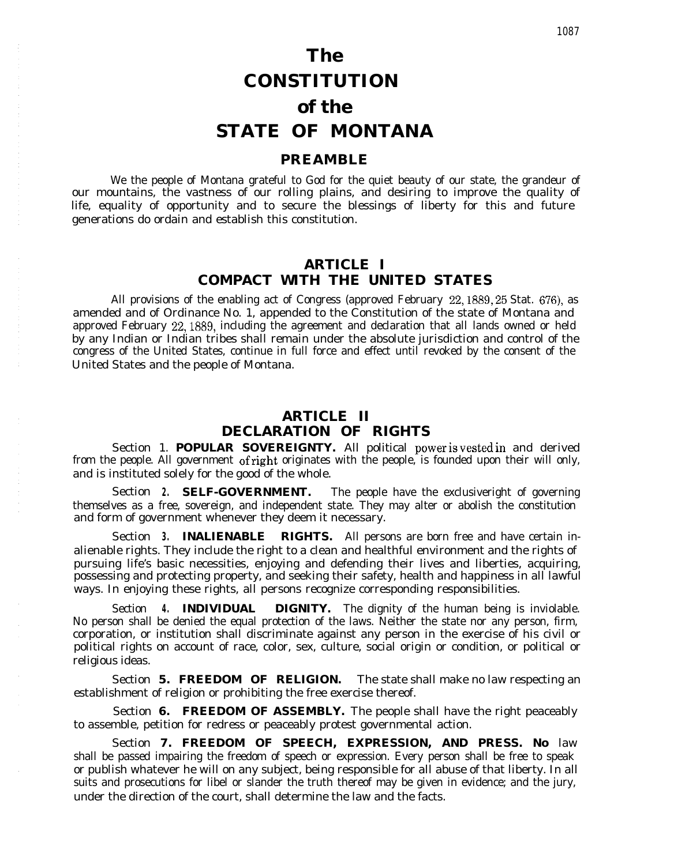#### **PREAMBLE**

We the people of Montana grateful to God for the quiet beauty of our state, the grandeur of our mountains, the vastness of our rolling plains, and desiring to improve the quality of life, equality of opportunity and to secure the blessings of liberty for this and future generations do ordain and establish this constitution.

### **ARTICLE I COMPACT WITH THE UNITED STATES**

All provisions of the enabling act of Congress (approved February 22,1889,25 Stat. 676), as amended and of Ordinance No. 1, appended to the Constitution of the state of Montana and approved February 22,1889, including the agreement and declaration that all lands owned or held by any Indian or Indian tribes shall remain under the absolute jurisdiction and control of the congress of the United States, continue in full force and effect until revoked by the consent of the United States and the people of Montana.

## **ARTICLE II DECLARATION OF RIGHTS**

Section 1. **POPULAR SOVEREIGNTY.** All political power is vested in and derived from the people. All government ofright originates with the people, is founded upon their will only, and is instituted solely for the good of the whole.

Section **2. SELF-GOVERNMENT.** The people have the exclusiveright of governing themselves as a free, sovereign, and independent state. They may alter or abolish the constitution and form of government whenever they deem it necessary.

Section 3. **INALIENABLE RIGHTS.** All persons are born free and have certain inalienable rights. They include the right to a clean and healthful environment and the rights of pursuing life's basic necessities, enjoying and defending their lives and liberties, acquiring, possessing and protecting property, and seeking their safety, health and happiness in all lawful ways. In enjoying these rights, all persons recognize corresponding responsibilities.

Section 4. **INDIVIDUAL DIGNITY.** The dignity of the human being is inviolable. No person shall be denied the equal protection of the laws. Neither the state nor any person, firm, corporation, or institution shall discriminate against any person in the exercise of his civil or political rights on account of race, color, sex, culture, social origin or condition, or political or religious ideas.

Section **5. FREEDOM OF RELIGION.** The state shall make no law respecting an establishment of religion or prohibiting the free exercise thereof.

Section **6. FREEDOM OF ASSEMBLY.** The people shall have the right peaceably to assemble, petition for redress or peaceably protest governmental action.

Section **7. FREEDOM OF SPEECH, EXPRESSION, AND PRESS. No** law shall be passed impairing the freedom of speech or expression. Every person shall be free to speak or publish whatever he will on any subject, being responsible for all abuse of that liberty. In all suits and prosecutions for libel or slander the truth thereof may be given in evidence; and the jury, under the direction of the court, shall determine the law and the facts.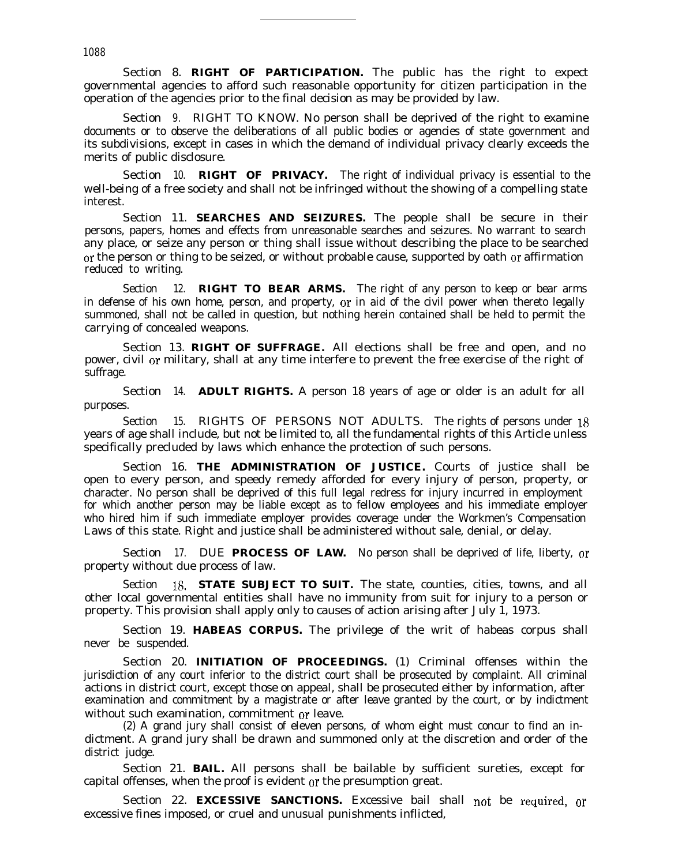Section 8. **RIGHT OF PARTICIPATION.** The public has the right to expect governmental agencies to afford such reasonable opportunity for citizen participation in the operation of the agencies prior to the final decision as may be provided by law.

Section 9. RIGHT TO KNOW. No person shall be deprived of the right to examine documents or to observe the deliberations of all public bodies or agencies of state government and its subdivisions, except in cases in which the demand of individual privacy clearly exceeds the merits of public disclosure.

Section 10. **RIGHT OF PRIVACY.** The right of individual privacy is essential to the well-being of a free society and shall not be infringed without the showing of a compelling state interest.

Section 11. **SEARCHES AND SEIZURES.** The people shall be secure in their persons, papers, homes and effects from unreasonable searches and seizures. No warrant to search any place, or seize any person or thing shall issue without describing the place to be searched or the person or thing to be seized, or without probable cause, supported by oath or affirmation reduced to writing.

Section 12. **RIGHT TO BEAR ARMS.** The right of any person to keep or bear arms in defense of his own home, person, and property, or in aid of the civil power when thereto legally summoned, shall not be called in question, but nothing herein contained shall be held to permit the carrying of concealed weapons.

Section 13. **RIGHT OF SUFFRAGE.** All elections shall be free and open, and no power, civil or military, shall at any time interfere to prevent the free exercise of the right of suffrage.

Section 14. **ADULT RIGHTS.** A person 18 years of age or older is an adult for all purposes.

Section 15. RIGHTS OF PERSONS NOT ADULTS. The rights of persons under 18 years of age shall include, but not be limited to, all the fundamental rights of this Article unless specifically precluded by laws which enhance the protection of such persons.

Section 16. **THE ADMINISTRATION OF JUSTICE.** Courts of justice shall be open to every person, and speedy remedy afforded for every injury of person, property, or character. No person shall be deprived of this full legal redress for injury incurred in employment for which another person may be liable except as to fellow employees and his immediate employer who hired him if such immediate employer provides coverage under the Workmen's Compensation Laws of this state. Right and justice shall be administered without sale, denial, or delay.

Section 17. DUE **PROCESS OF LAW.** No person shall be deprived of life, liberty, or property without due process of law.

Section 18. **STATE SUBJECT TO SUIT.** The state, counties, cities, towns, and all other local governmental entities shall have no immunity from suit for injury to a person or property. This provision shall apply only to causes of action arising after July 1, 1973.

Section 19. **HABEAS CORPUS.** The privilege of the writ of habeas corpus shall never be suspended.

Section 20. **INITIATION OF PROCEEDINGS.** (1) Criminal offenses within the jurisdiction of any court inferior to the district court shall be prosecuted by complaint. All criminal actions in district court, except those on appeal, shall be prosecuted either by information, after examination and commitment by a magistrate or after leave granted by the court, or by indictment without such examination, commitment or leave.

(2) A grand jury shall consist of eleven persons, of whom eight must concur to find an indictment. A grand jury shall be drawn and summoned only at the discretion and order of the district judge.

Section 21. **BAIL.** All persons shall be bailable by sufficient sureties, except for capital offenses, when the proof is evident or the presumption great.

Section 22. **EXCESSIVE SANCTIONS.** Excessive bail shall not be required, or excessive fines imposed, or cruel and unusual punishments inflicted,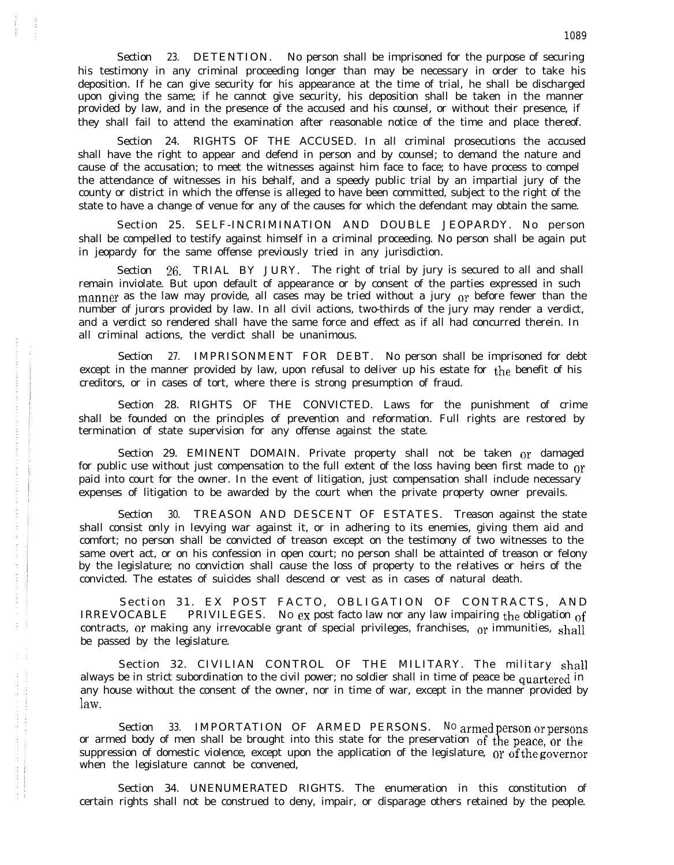Section 23. DETENTION. No person shall be imprisoned for the purpose of securing his testimony in any criminal proceeding longer than may be necessary in order to take his deposition. If he can give security for his appearance at the time of trial, he shall be discharged upon giving the same; if he cannot give security, his deposition shall be taken in the manner provided by law, and in the presence of the accused and his counsel, or without their presence, if they shall fail to attend the examination after reasonable notice of the time and place thereof.

Section 24. RIGHTS OF THE ACCUSED. In all criminal prosecutions the accused shall have the right to appear and defend in person and by counsel; to demand the nature and cause of the accusation; to meet the witnesses against him face to face; to have process to compel the attendance of witnesses in his behalf, and a speedy public trial by an impartial jury of the county or district in which the offense is alleged to have been committed, subject to the right of the state to have a change of venue for any of the causes for which the defendant may obtain the same.

Section 25. SELF-INCRIMINATION AND DOUBLE JEOPARDY. No person shall be compelled to testify against himself in a criminal proceeding. No person shall be again put in jeopardy for the same offense previously tried in any jurisdiction.

Section 26. TRIAL BY JURY. The right of trial by jury is secured to all and shall remain inviolate. But upon default of appearance or by consent of the parties expressed in such manner as the law may provide, all cases may be tried without a jury or before fewer than the number of jurors provided by law. In all civil actions, two-thirds of the jury may render a verdict, and a verdict so rendered shall have the same force and effect as if all had concurred therein. In all criminal actions, the verdict shall be unanimous.

Section 27. IMPRISONMENT FOR DEBT. No person shall be imprisoned for debt except in the manner provided by law, upon refusal to deliver up his estate for the benefit of his creditors, or in cases of tort, where there is strong presumption of fraud.

Section 28. RIGHTS OF THE CONVICTED. Laws for the punishment of crime shall be founded on the principles of prevention and reformation. Full rights are restored by termination of state supervision for any offense against the state.

Section 29. EMINENT DOMAIN. Private property shall not be taken or damaged for public use without just compensation to the full extent of the loss having been first made to  $\alpha r$ paid into court for the owner. In the event of litigation, just compensation shall include necessary expenses of litigation to be awarded by the court when the private property owner prevails.

Section 30. TREASON AND DESCENT OF ESTATES. Treason against the state shall consist only in levying war against it, or in adhering to its enemies, giving them aid and comfort; no person shall be convicted of treason except on the testimony of two witnesses to the same overt act, or on his confession in open court; no person shall be attainted of treason or felony by the legislature; no conviction shall cause the loss of property to the relatives or heirs of the convicted. The estates of suicides shall descend or vest as in cases of natural death.

Section 31. EX POST FACTO, OBLIGATION OF CONTRACTS, AND IRREVOCABLE PRIVILEGES. No ex post facto law nor any law impairing the obligation of contracts, 0<sup>t</sup> making any irrevocable grant of special privileges, franchises, or immunities, shall be passed by the legislature.

Section 32. CIVILIAN CONTROL OF THE MILITARY. The military shall always be in strict subordination to the civil power; no soldier shall in time of peace be quartered in any house without the consent of the owner, nor in time of war, except in the manner provided by law.

Section 33. IMPORTATION OF ARMED PERSONS. No armed person or persons or armed body of men shall be brought into this state for the preservation of the peace, or the suppression of domestic violence, except upon the application of the legislature, or of the governor when the legislature cannot be convened,

Section 34. UNENUMERATED RIGHTS. The enumeration in this constitution of certain rights shall not be construed to deny, impair, or disparage others retained by the people.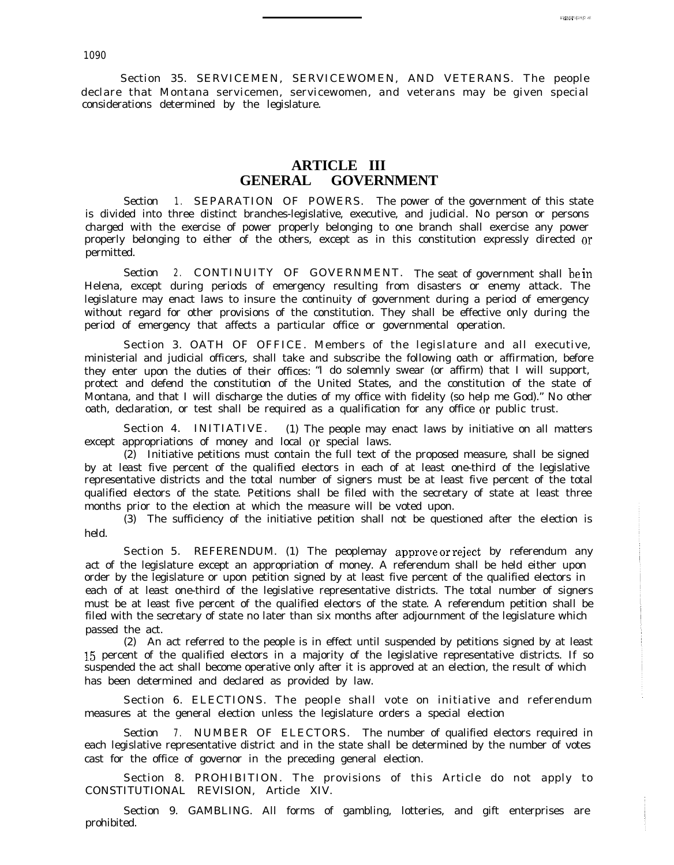Section 35. SERVICEMEN, SERVICEWOMEN, AND VETERANS. The people declare that Montana servicemen, servicewomen, and veterans may be given special

considerations determined by the legislature.

### **ARTICLE III GENERAL GOVERNMENT**

cmensions a

Section 1. SEPARATION OF POWERS. The power of the government of this state is divided into three distinct branches-legislative, executive, and judicial. No person or persons charged with the exercise of power properly belonging to one branch shall exercise any power properly belonging to either of the others, except as in this constitution expressly directed or permitted.

Section 2. CONTINUITY OF GOVERNMENT. The seat of government shall be in Helena, except during periods of emergency resulting from disasters or enemy attack. The legislature may enact laws to insure the continuity of government during a period of emergency without regard for other provisions of the constitution. They shall be effective only during the period of emergency that affects a particular office or governmental operation.

Section 3. OATH OF OFFICE. Members of the legislature and all executive, ministerial and judicial officers, shall take and subscribe the following oath or affirmation, before they enter upon the duties of their offices: "I do solemnly swear (or affirm) that I will support, protect and defend the constitution of the United States, and the constitution of the state of Montana, and that I will discharge the duties of my office with fidelity (so help me God)." No other oath, declaration, or test shall be required as a qualification for any office or public trust.

Section 4. INITIATIVE. (1) The people may enact laws by initiative on all matters except appropriations of money and local or special laws.

(2) Initiative petitions must contain the full text of the proposed measure, shall be signed by at least five percent of the qualified electors in each of at least one-third of the legislative representative districts and the total number of signers must be at least five percent of the total qualified electors of the state. Petitions shall be filed with the secretary of state at least three months prior to the election at which the measure will be voted upon.

(3) The sufficiency of the initiative petition shall not be questioned after the election is held.

Section 5. REFERENDUM. (1) The peoplemay approveorreject by referendum any act of the legislature except an appropriation of money. A referendum shall be held either upon order by the legislature or upon petition signed by at least five percent of the qualified electors in each of at least one-third of the legislative representative districts. The total number of signers must be at least five percent of the qualified electors of the state. A referendum petition shall be filed with the secretary of state no later than six months after adjournment of the legislature which passed the act.

(2) An act referred to the people is in effect until suspended by petitions signed by at least 15 percent of the qualified electors in a majority of the legislative representative districts. If so suspended the act shall become operative only after it is approved at an election, the result of which has been determined and declared as provided by law.

Section 6. ELECTIONS. The people shall vote on initiative and referendum measures at the general election unless the legislature orders a special election

Section 7. NUMBER OF ELECTORS. The number of qualified electors required in each legislative representative district and in the state shall be determined by the number of votes cast for the office of governor in the preceding general election.

Section 8. PROHIBITION. The provisions of this Article do not apply to CONSTITUTIONAL REVISION, Article XIV.

Section 9. GAMBLING. All forms of gambling, lotteries, and gift enterprises are prohibited.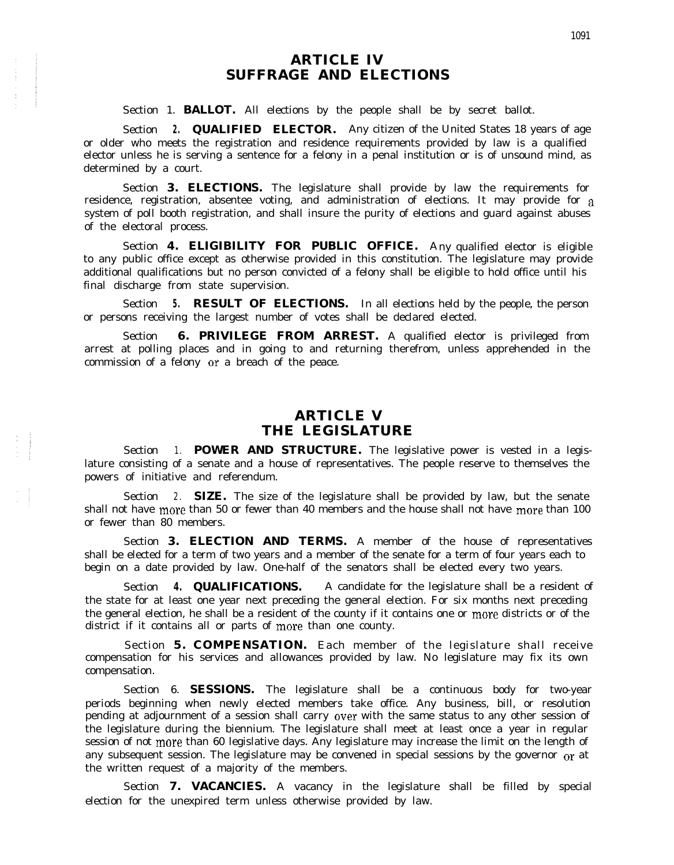#### **ARTICLE IV SUFFRAGE AND ELECTIONS**

Section 1. **BALLOT.** All elections by the people shall be by secret ballot.

Section **2 . QUALIFIED ELECTOR.** Any citizen of the United States 18 years of age or older who meets the registration and residence requirements provided by law is a qualified elector unless he is serving a sentence for a felony in a penal institution or is of unsound mind, as determined by a court.

Section **3. ELECTIONS.** The legislature shall provide by law the requirements for residence, registration, absentee voting, and administration of elections. It may provide for a system of poll booth registration, and shall insure the purity of elections and guard against abuses of the electoral process.

Section **4. ELIGIBILITY FOR PUBLIC OFFICE.** Any qualified elector is eligible to any public office except as otherwise provided in this constitution. The legislature may provide additional qualifications but no person convicted of a felony shall be eligible to hold office until his final discharge from state supervision.

Section **5. RESULT OF ELECTIONS.** In all elections held by the people, the person or persons receiving the largest number of votes shall be declared elected.

Section **6. PRIVILEGE FROM ARREST.** A qualified elector is privileged from arrest at polling places and in going to and returning therefrom, unless apprehended in the commission of a felony or a breach of the peace.

# **ARTICLE V THE LEGISLATURE**

Section 1. **POWER AND STRUCTURE.** The legislative power is vested in a legislature consisting of a senate and a house of representatives. The people reserve to themselves the powers of initiative and referendum.

Section 2. **SIZE.** The size of the legislature shall be provided by law, but the senate shall not have more than 50 or fewer than 40 members and the house shall not have more than 100 or fewer than 80 members.

Section **3. ELECTION AND TERMS.** A member of the house of representatives shall be elected for a term of two years and a member of the senate for a term of four years each to begin on a date provided by law. One-half of the senators shall be elected every two years.

Section **4. QUALIFICATIONS.** A candidate for the legislature shall be a resident of the state for at least one year next preceding the general election. For six months next preceding the general election, he shall be a resident of the county if it contains one or more districts or of the district if it contains all or parts of more than one county.

Section **5. COMPENSATION.** Each member of the legislature shall receive compensation for his services and allowances provided by law. No legislature may fix its own compensation.

Section 6. **SESSIONS.** The legislature shall be a continuous body for two-year periods beginning when newly elected members take office. Any business, bill, or resolution pending at adjournment of a session shall carry over with the same status to any other session of the legislature during the biennium. The legislature shall meet at least once a year in regular session of not more than 60 legislative days. Any legislature may increase the limit on the length of any subsequent session. The legislature may be convened in special sessions by the governor or at the written request of a majority of the members.

Section **7. VACANCIES.** A vacancy in the legislature shall be filled by special election for the unexpired term unless otherwise provided by law.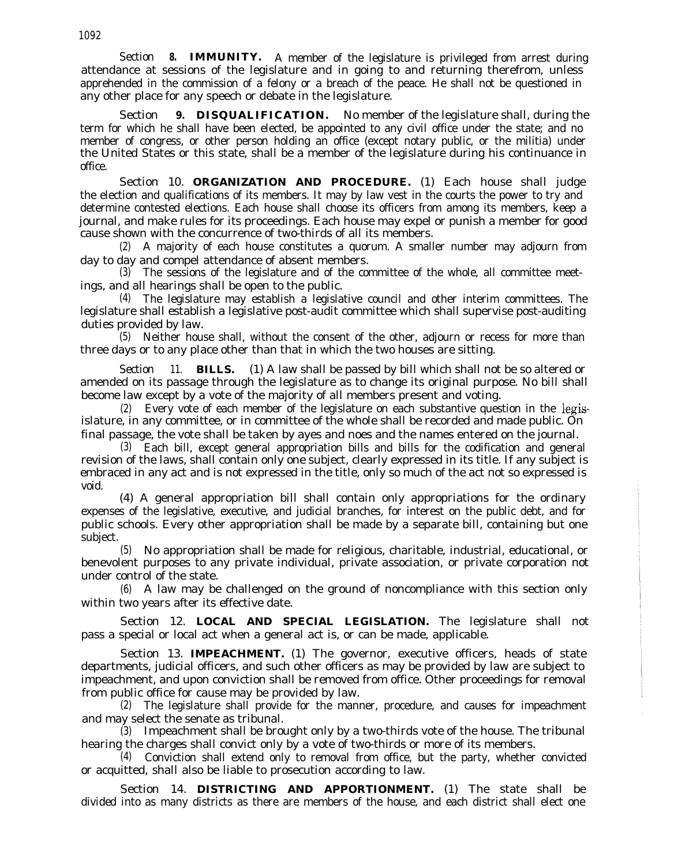Section **8. IMMUNITY.** A member of the legislature is privileged from arrest during attendance at sessions of the legislature and in going to and returning therefrom, unless apprehended in the commission of a felony or a breach of the peace. He shall not be questioned in any other place for any speech or debate in the legislature.

Section **9. DISQUALIFICATION.** No member of the legislature shall, during the term for which he shall have been elected, be appointed to any civil office under the state; and no member of congress, or other person holding an office (except notary public, or the militia) under the United States or this state, shall be a member of the legislature during his continuance in office.

Section 10. **ORGANIZATION AND PROCEDURE.** (1) Each house shall judge the election and qualifications of its members. It may by law vest in the courts the power to try and determine contested elections. Each house shall choose its officers from among its members, keep a journal, and make rules for its proceedings. Each house may expel or punish a member for good cause shown with the concurrence of two-thirds of all its members.

(2) A majority of each house constitutes a quorum. A smaller number may adjourn from day to day and compel attendance of absent members.

(3) The sessions of the legislature and of the committee of the whole, all committee meetings, and all hearings shall be open to the public.

(4) The legislature may establish a legislative council and other interim committees. The legislature shall establish a legislative post-audit committee which shall supervise post-auditing duties provided by law.

(5) Neither house shall, without the consent of the other, adjourn or recess for more than three days or to any place other than that in which the two houses are sitting.

Section 11. **BILLS.** (1) A law shall be passed by bill which shall not be so altered or amended on its passage through the legislature as to change its original purpose. No bill shall become law except by a vote of the majority of all members present and voting.

(2) Every vote of each member of the legislature on each substantive question in the legisislature, in any committee, or in committee of the whole shall be recorded and made public. On final passage, the vote shall be taken by ayes and noes and the names entered on the journal.

(3) Each bill, except general appropriation bills and bills for the codification and general revision of the laws, shall contain only one subject, clearly expressed in its title. If any subject is embraced in any act and is not expressed in the title, only so much of the act not so expressed is void.

(4) A general appropriation bill shall contain only appropriations for the ordinary expenses of the legislative, executive, and judicial branches, for interest on the public debt, and for public schools. Every other appropriation shall be made by a separate bill, containing but one subject.

(5) No appropriation shall be made for religious, charitable, industrial, educational, or benevolent purposes to any private individual, private association, or private corporation not under control of the state.

(6) A law may be challenged on the ground of noncompliance with this section only within two years after its effective date.

Section 12. **LOCAL AND SPECIAL LEGISLATION.** The legislature shall not pass a special or local act when a general act is, or can be made, applicable.

Section 13. **IMPEACHMENT.** (1) The governor, executive officers, heads of state departments, judicial officers, and such other officers as may be provided by law are subject to impeachment, and upon conviction shall be removed from office. Other proceedings for removal from public office for cause may be provided by law.

(2) The legislature shall provide for the manner, procedure, and causes for impeachment and may select the senate as tribunal.

(3) Impeachment shall be brought only by a two-thirds vote of the house. The tribunal hearing the charges shall convict only by a vote of two-thirds or more of its members.

(4) Conviction shall extend only to removal from office, but the party, whether convicted or acquitted, shall also be liable to prosecution according to law.

Section 14. **DISTRICTING AND APPORTIONMENT.** (1) The state shall be divided into as many districts as there are members of the house, and each district shall elect one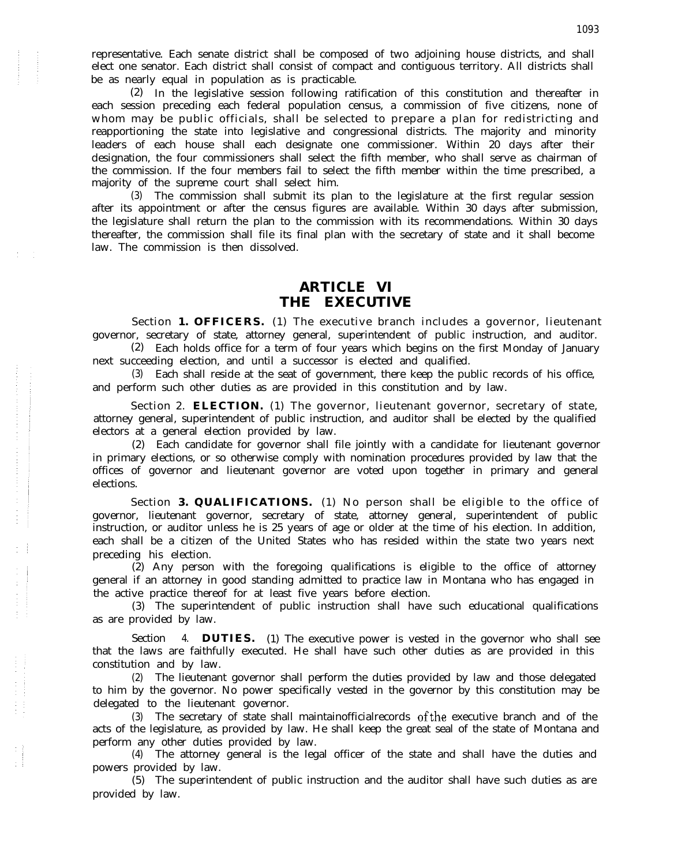representative. Each senate district shall be composed of two adjoining house districts, and shall elect one senator. Each district shall consist of compact and contiguous territory. All districts shall be as nearly equal in population as is practicable.

(2) In the legislative session following ratification of this constitution and thereafter in each session preceding each federal population census, a commission of five citizens, none of whom may be public officials, shall be selected to prepare a plan for redistricting and reapportioning the state into legislative and congressional districts. The majority and minority leaders of each house shall each designate one commissioner. Within 20 days after their designation, the four commissioners shall select the fifth member, who shall serve as chairman of the commission. If the four members fail to select the fifth member within the time prescribed, a majority of the supreme court shall select him.

(3) The commission shall submit its plan to the legislature at the first regular session after its appointment or after the census figures are available. Within 30 days after submission, the legislature shall return the plan to the commission with its recommendations. Within 30 days thereafter, the commission shall file its final plan with the secretary of state and it shall become law. The commission is then dissolved.

### **ARTICLE VI THE EXECUTIVE**

Section **1. OFFICERS.** (1) The executive branch includes a governor, lieutenant governor, secretary of state, attorney general, superintendent of public instruction, and auditor.

(2) Each holds office for a term of four years which begins on the first Monday of January next succeeding election, and until a successor is elected and qualified.

(3) Each shall reside at the seat of government, there keep the public records of his office, and perform such other duties as are provided in this constitution and by law.

Section 2. **ELECTION.** (1) The governor, lieutenant governor, secretary of state, attorney general, superintendent of public instruction, and auditor shall be elected by the qualified electors at a general election provided by law.

(2) Each candidate for governor shall file jointly with a candidate for lieutenant governor in primary elections, or so otherwise comply with nomination procedures provided by law that the offices of governor and lieutenant governor are voted upon together in primary and general elections.

Section **3. QUALIFICATIONS.** (1) No person shall be eligible to the office of governor, lieutenant governor, secretary of state, attorney general, superintendent of public instruction, or auditor unless he is 25 years of age or older at the time of his election. In addition, each shall be a citizen of the United States who has resided within the state two years next preceding his election.

(2) Any person with the foregoing qualifications is eligible to the office of attorney general if an attorney in good standing admitted to practice law in Montana who has engaged in the active practice thereof for at least five years before election.

(3) The superintendent of public instruction shall have such educational qualifications as are provided by law.

Section 4. **DUTIES.** (1) The executive power is vested in the governor who shall see that the laws are faithfully executed. He shall have such other duties as are provided in this constitution and by law.

(2) The lieutenant governor shall perform the duties provided by law and those delegated to him by the governor. No power specifically vested in the governor by this constitution may be delegated to the lieutenant governor.

(3) The secretary of state shall maintainofficialrecords ofthe executive branch and of the acts of the legislature, as provided by law. He shall keep the great seal of the state of Montana and perform any other duties provided by law.

(4) The attorney general is the legal officer of the state and shall have the duties and powers provided by law.

(5) The superintendent of public instruction and the auditor shall have such duties as are provided by law.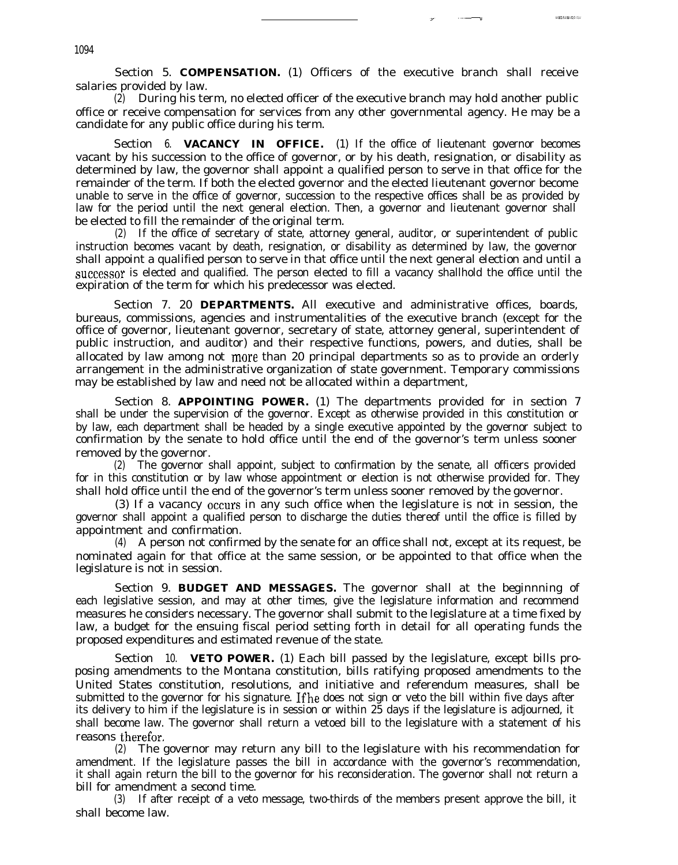Section 5. **COMPENSATION.** (1) Officers of the executive branch shall receive salaries provided by law.

(2) During his term, no elected officer of the executive branch may hold another public office or receive compensation for services from any other governmental agency. He may be a candidate for any public office during his term.

Section 6. **VACANCY IN OFFICE.** (1) If the office of lieutenant governor becomes vacant by his succession to the office of governor, or by his death, resignation, or disability as determined by law, the governor shall appoint a qualified person to serve in that office for the remainder of the term. If both the elected governor and the elected lieutenant governor become unable to serve in the office of governor, succession to the respective offices shall be as provided by law for the period until the next general election. Then, a governor and lieutenant governor shall be elected to fill the remainder of the original term.

(2) If the office of secretary of state, attorney general, auditor, or superintendent of public instruction becomes vacant by death, resignation, or disability as determined by law, the governor shall appoint a qualified person to serve in that office until the next general election and until a successor is elected and qualified. The person elected to fill a vacancy shallhold the office until the expiration of the term for which his predecessor was elected.

Section 7. 20 **DEPARTMENTS.** All executive and administrative offices, boards, bureaus, commissions, agencies and instrumentalities of the executive branch (except for the office of governor, lieutenant governor, secretary of state, attorney general, superintendent of public instruction, and auditor) and their respective functions, powers, and duties, shall be allocated by law among not more than 20 principal departments so as to provide an orderly arrangement in the administrative organization of state government. Temporary commissions may be established by law and need not be allocated within a department,

Section 8. **APPOINTING POWER.** (1) The departments provided for in section 7 shall be under the supervision of the governor. Except as otherwise provided in this constitution or by law, each department shall be headed by a single executive appointed by the governor subject to confirmation by the senate to hold office until the end of the governor's term unless sooner removed by the governor.

(2) The governor shall appoint, subject to confirmation by the senate, all officers provided for in this constitution or by law whose appointment or election is not otherwise provided for. They shall hold office until the end of the governor's term unless sooner removed by the governor.

(3) If a vacancy occurs in any such office when the legislature is not in session, the governor shall appoint a qualified person to discharge the duties thereof until the office is filled by appointment and confirmation.

(4) A person not confirmed by the senate for an office shall not, except at its request, be nominated again for that office at the same session, or be appointed to that office when the legislature is not in session.

Section 9. **BUDGET AND MESSAGES.** The governor shall at the beginnning of each legislative session, and may at other times, give the legislature information and recommend measures he considers necessary. The governor shall submit to the legislature at a time fixed by law, a budget for the ensuing fiscal period setting forth in detail for all operating funds the proposed expenditures and estimated revenue of the state.

Section 10. **VETO POWER.** (1) Each bill passed by the legislature, except bills proposing amendments to the Montana constitution, bills ratifying proposed amendments to the United States constitution, resolutions, and initiative and referendum measures, shall be submitted to the governor for his signature. Ifhe does not sign or veto the bill within five days after its delivery to him if the legislature is in session or within 25 days if the legislature is adjourned, it shall become law. The governor shall return a vetoed bill to the legislature with a statement of his reasons therefor.

(2) The governor may return any bill to the legislature with his recommendation for amendment. If the legislature passes the bill in accordance with the governor's recommendation, it shall again return the bill to the governor for his reconsideration. The governor shall not return a bill for amendment a second time.

(3) If after receipt of a veto message, two-thirds of the members present approve the bill, it shall become law.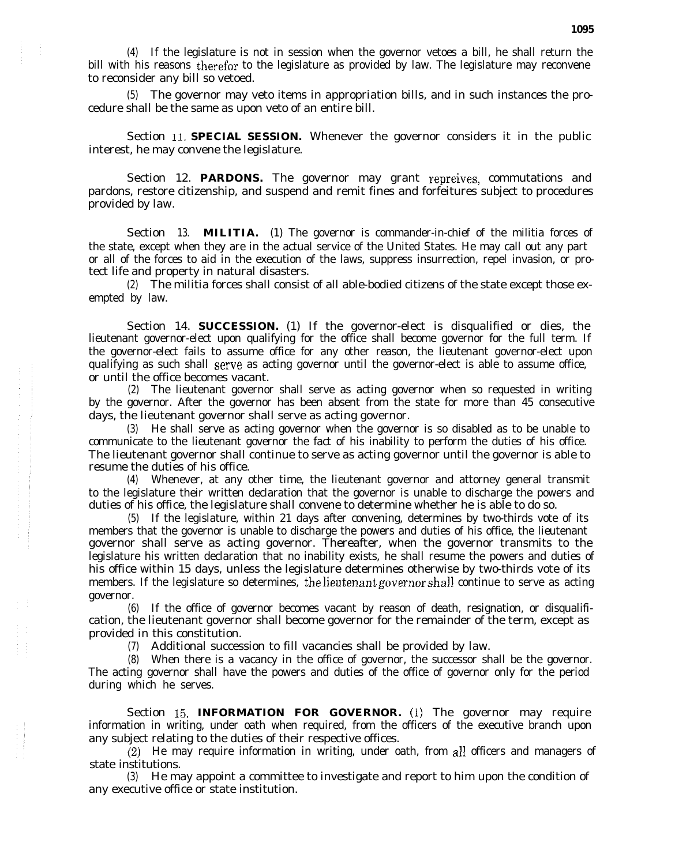(4) If the legislature is not in session when the governor vetoes a bill, he shall return the bill with his reasons therefor to the legislature as provided by law. The legislature may reconvene to reconsider any bill so vetoed.

(5) The governor may veto items in appropriation bills, and in such instances the procedure shall be the same as upon veto of an entire bill.

Section **11. SPECIAL SESSION.** Whenever the governor considers it in the public interest, he may convene the legislature.

Section 12. **PARDONS.** The governor may grant repreives, commutations and pardons, restore citizenship, and suspend and remit fines and forfeitures subject to procedures provided by law.

Section 13. **MILITIA.** (1) The governor is commander-in-chief of the militia forces of the state, except when they are in the actual service of the United States. He may call out any part or all of the forces to aid in the execution of the laws, suppress insurrection, repel invasion, or protect life and property in natural disasters.

(2) The militia forces shall consist of all able-bodied citizens of the state except those exempted by law.

Section 14. **SUCCESSION.** (1) If the governor-elect is disqualified or dies, the lieutenant governor-elect upon qualifying for the office shall become governor for the full term. If the governor-elect fails to assume office for any other reason, the lieutenant governor-elect upon qualifying as such shall serve as acting governor until the governor-elect is able to assume office, or until the office becomes vacant.

(2) The lieutenant governor shall serve as acting governor when so requested in writing by the governor. After the governor has been absent from the state for more than 45 consecutive days, the lieutenant governor shall serve as acting governor.

(3) He shall serve as acting governor when the governor is so disabled as to be unable to communicate to the lieutenant governor the fact of his inability to perform the duties of his office. The lieutenant governor shall continue to serve as acting governor until the governor is able to resume the duties of his office.

(4) Whenever, at any other time, the lieutenant governor and attorney general transmit to the legislature their written declaration that the governor is unable to discharge the powers and duties of his office, the legislature shall convene to determine whether he is able to do so.

(5) If the legislature, within 21 days after convening, determines by two-thirds vote of its members that the governor is unable to discharge the powers and duties of his office, the lieutenant governor shall serve as acting governor. Thereafter, when the governor transmits to the legislature his written declaration that no inability exists, he shall resume the powers and duties of his office within 15 days, unless the legislature determines otherwise by two-thirds vote of its members. If the legislature so determines, thelieutenantgovernorshall continue to serve as acting governor.

(6) If the office of governor becomes vacant by reason of death, resignation, or disqualification, the lieutenant governor shall become governor for the remainder of the term, except as provided in this constitution.

(7) Additional succession to fill vacancies shall be provided by law.

(8) When there is a vacancy in the office of governor, the successor shall be the governor. The acting governor shall have the powers and duties of the office of governor only for the period during which he serves.

Section **15. INFORMATION FOR GOVERNOR. (1)** The governor may require information in writing, under oath when required, from the officers of the executive branch upon any subject relating to the duties of their respective offices.

(2) He may require information in writing, under oath, from all officers and managers of state institutions.

(3) He may appoint a committee to investigate and report to him upon the condition of any executive office or state institution.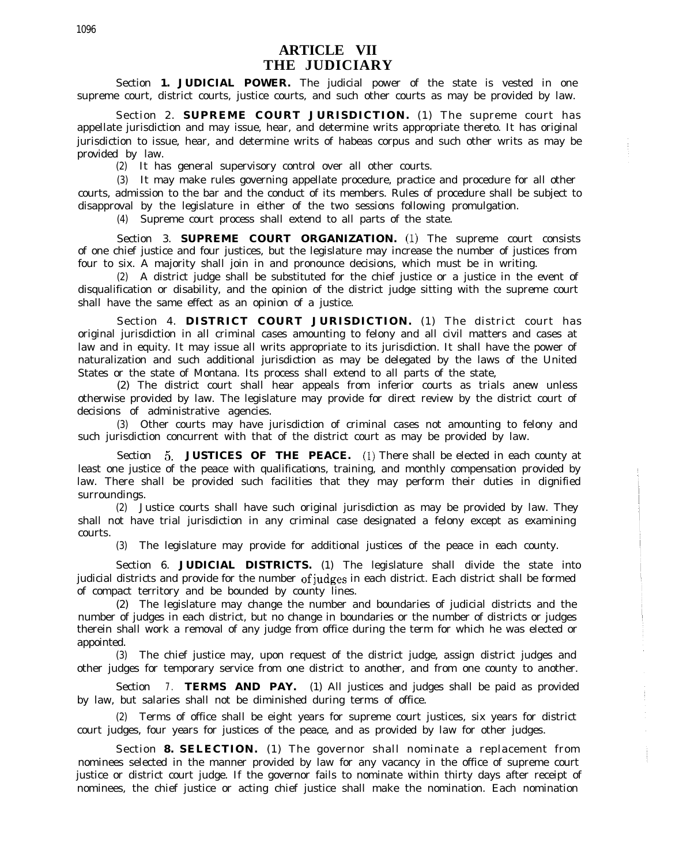Section **1. JUDICIAL POWER.** The judicial power of the state is vested in one supreme court, district courts, justice courts, and such other courts as may be provided by law.

Section 2. **SUPREME COURT JURISDICTION.** (1) The supreme court has appellate jurisdiction and may issue, hear, and determine writs appropriate thereto. It has original jurisdiction to issue, hear, and determine writs of habeas corpus and such other writs as may be provided by law.

(2) It has general supervisory control over all other courts.

(3) It may make rules governing appellate procedure, practice and procedure for all other courts, admission to the bar and the conduct of its members. Rules of procedure shall be subject to disapproval by the legislature in either of the two sessions following promulgation.

(4) Supreme court process shall extend to all parts of the state.

Section 3. **SUPREME COURT ORGANIZATION.** (1) The supreme court consists of one chief justice and four justices, but the legislature may increase the number of justices from four to six. A majority shall join in and pronounce decisions, which must be in writing.

(2) A district judge shall be substituted for the chief justice or a justice in the event of disqualification or disability, and the opinion of the district judge sitting with the supreme court shall have the same effect as an opinion of a justice.

Section 4. DISTRICT COURT JURISDICTION. (1) The district court has original jurisdiction in all criminal cases amounting to felony and all civil matters and cases at law and in equity. It may issue all writs appropriate to its jurisdiction. It shall have the power of naturalization and such additional jurisdiction as may be delegated by the laws of the United States or the state of Montana. Its process shall extend to all parts of the state,

(2) The district court shall hear appeals from inferior courts as trials anew unless otherwise provided by law. The legislature may provide for direct review by the district court of decisions of administrative agencies.

(3) Other courts may have jurisdiction of criminal cases not amounting to felony and such jurisdiction concurrent with that of the district court as may be provided by law.

Section 5. **JUSTICES OF THE PEACE.** (1) There shall be elected in each county at least one justice of the peace with qualifications, training, and monthly compensation provided by law. There shall be provided such facilities that they may perform their duties in dignified surroundings.

(2) Justice courts shall have such original jurisdiction as may be provided by law. They shall not have trial jurisdiction in any criminal case designated a felony except as examining courts.

(3) The legislature may provide for additional justices of the peace in each county.

Section 6. **JUDICIAL DISTRICTS.** (1) The legislature shall divide the state into judicial districts and provide for the number ofjudges in each district. Each district shall be formed of compact territory and be bounded by county lines.

(2) The legislature may change the number and boundaries of judicial districts and the number of judges in each district, but no change in boundaries or the number of districts or judges therein shall work a removal of any judge from office during the term for which he was elected or appointed.

(3) The chief justice may, upon request of the district judge, assign district judges and other judges for temporary service from one district to another, and from one county to another.

Section 7. **TERMS AND PAY.** (1) All justices and judges shall be paid as provided by law, but salaries shall not be diminished during terms of office.

(2) Terms of office shall be eight years for supreme court justices, six years for district court judges, four years for justices of the peace, and as provided by law for other judges.

Section **8. SELECTION.** (1) The governor shall nominate a replacement from nominees selected in the manner provided by law for any vacancy in the office of supreme court justice or district court judge. If the governor fails to nominate within thirty days after receipt of nominees, the chief justice or acting chief justice shall make the nomination. Each nomination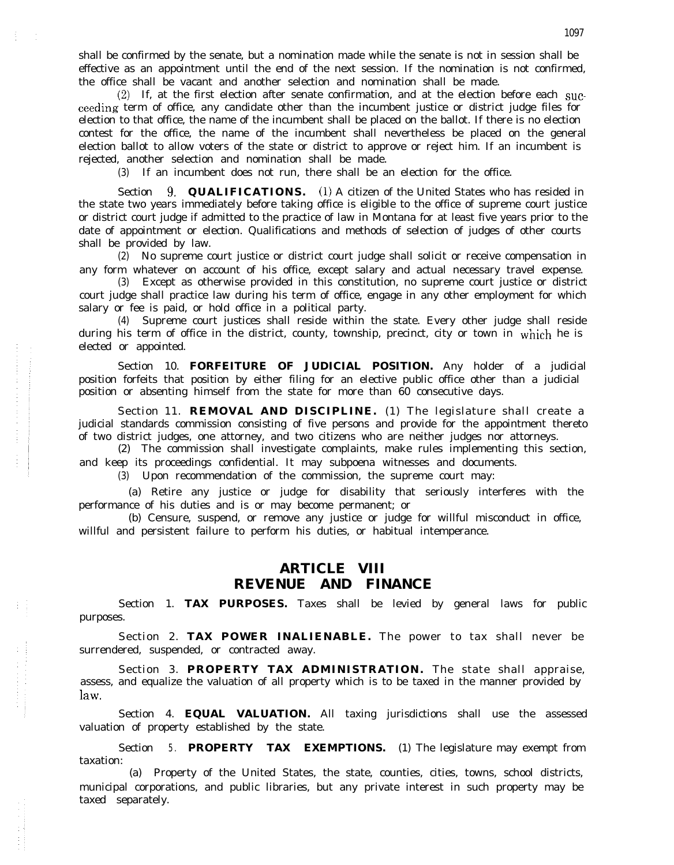shall be confirmed by the senate, but a nomination made while the senate is not in session shall be effective as an appointment until the end of the next session. If the nomination is not confirmed, the office shall be vacant and another selection and nomination shall be made.

 $(2)$  If, at the first election after senate confirmation, and at the election before each succeeding term of office, any candidate other than the incumbent justice or district judge files for election to that office, the name of the incumbent shall be placed on the ballot. If there is no election contest for the office, the name of the incumbent shall nevertheless be placed on the general election ballot to allow voters of the state or district to approve or reject him. If an incumbent is rejected, another selection and nomination shall be made.

(3) If an incumbent does not run, there shall be an election for the office.

Section **9. QUALIFICATIONS.** (1) A citizen of the United States who has resided in the state two years immediately before taking office is eligible to the office of supreme court justice or district court judge if admitted to the practice of law in Montana for at least five years prior to the date of appointment or election. Qualifications and methods of selection of judges of other courts shall be provided by law.

(2) No supreme court justice or district court judge shall solicit or receive compensation in any form whatever on account of his office, except salary and actual necessary travel expense.

(3) Except as otherwise provided in this constitution, no supreme court justice or district court judge shall practice law during his term of office, engage in any other employment for which salary or fee is paid, or hold office in a political party.

(4) Supreme court justices shall reside within the state. Every other judge shall reside during his term of office in the district, county, township, precinct, city or town in which he is elected or appointed.

Section 10. **FORFEITURE OF JUDICIAL POSITION.** Any holder of a judicial position forfeits that position by either filing for an elective public office other than a judicial position or absenting himself from the state for more than 60 consecutive days.

Section 11. **REMOVAL AND DISCIPLINE.** (1) The legislature shall create a judicial standards commission consisting of five persons and provide for the appointment thereto of two district judges, one attorney, and two citizens who are neither judges nor attorneys.

(2) The commission shall investigate complaints, make rules implementing this section, and keep its proceedings confidential. It may subpoena witnesses and documents.

(3) Upon recommendation of the commission, the supreme court may:

(a) Retire any justice or judge for disability that seriously interferes with the performance of his duties and is or may become permanent; or

(b) Censure, suspend, or remove any justice or judge for willful misconduct in office, willful and persistent failure to perform his duties, or habitual intemperance.

#### **ARTICLE VIII REVENUE AND FINANCE**

Section 1. **TAX PURPOSES.** Taxes shall be levied by general laws for public purposes.

Section 2. **TAX POWER INALIENABLE.** The power to tax shall never be surrendered, suspended, or contracted away.

Section 3. **PROPERTY TAX ADMINISTRATION.** The state shall appraise, assess, and equalize the valuation of all property which is to be taxed in the manner provided by law.

Section 4. **EQUAL VALUATION.** All taxing jurisdictions shall use the assessed valuation of property established by the state.

Section 5. **PROPERTY TAX EXEMPTIONS.** (1) The legislature may exempt from taxation:

(a) Property of the United States, the state, counties, cities, towns, school districts, municipal corporations, and public libraries, but any private interest in such property may be taxed separately.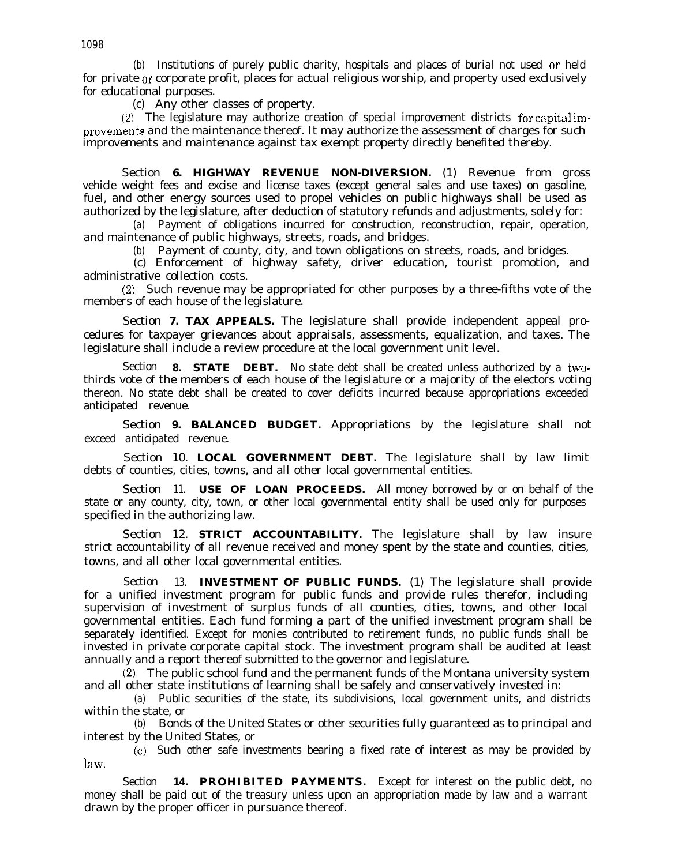(b) Institutions of purely public charity, hospitals and places of burial not used or held for private or corporate profit, places for actual religious worship, and property used exclusively for educational purposes.

(c) Any other classes of property.

(2) The legislature may authorize creation of special improvement districts forcapitalimprovements and the maintenance thereof. It may authorize the assessment of charges for such improvements and maintenance against tax exempt property directly benefited thereby.

Section **6. HIGHWAY REVENUE NON-DIVERSION.** (1) Revenue from gross vehicle weight fees and excise and license taxes (except general sales and use taxes) on gasoline, fuel, and other energy sources used to propel vehicles on public highways shall be used as authorized by the legislature, after deduction of statutory refunds and adjustments, solely for:

(a) Payment of obligations incurred for construction, reconstruction, repair, operation, and maintenance of public highways, streets, roads, and bridges.

(b) Payment of county, city, and town obligations on streets, roads, and bridges.

(c) Enforcement of highway safety, driver education, tourist promotion, and administrative collection costs.

(2) Such revenue may be appropriated for other purposes by a three-fifths vote of the members of each house of the legislature.

Section **7. TAX APPEALS.** The legislature shall provide independent appeal procedures for taxpayer grievances about appraisals, assessments, equalization, and taxes. The legislature shall include a review procedure at the local government unit level.

Section **8. STATE DEBT.** No state debt shall be created unless authorized by a twothirds vote of the members of each house of the legislature or a majority of the electors voting thereon. No state debt shall be created to cover deficits incurred because appropriations exceeded anticipated revenue.

Section **9. BALANCED BUDGET.** Appropriations by the legislature shall not exceed anticipated revenue.

Section 10. **LOCAL GOVERNMENT DEBT.** The legislature shall by law limit debts of counties, cities, towns, and all other local governmental entities.

Section 11. **USE OF LOAN PROCEEDS.** All money borrowed by or on behalf of the state or any county, city, town, or other local governmental entity shall be used only for purposes specified in the authorizing law.

Section 12. **STRICT ACCOUNTABILITY.** The legislature shall by law insure strict accountability of all revenue received and money spent by the state and counties, cities, towns, and all other local governmental entities.

Section 13. **INVESTMENT OF PUBLIC FUNDS.** (1) The legislature shall provide for a unified investment program for public funds and provide rules therefor, including supervision of investment of surplus funds of all counties, cities, towns, and other local governmental entities. Each fund forming a part of the unified investment program shall be separately identified. Except for monies contributed to retirement funds, no public funds shall be invested in private corporate capital stock. The investment program shall be audited at least annually and a report thereof submitted to the governor and legislature.

 $(2)$  The public school fund and the permanent funds of the Montana university system and all other state institutions of learning shall be safely and conservatively invested in:

(a) Public securities of the state, its subdivisions, local government units, and districts within the state, or

(b) Bonds of the United States or other securities fully guaranteed as to principal and interest by the United States, or

(c) Such other safe investments bearing a fixed rate of interest as may be provided by law.

Section **14. PROHIBITED PAYMENTS.** Except for interest on the public debt, no money shall be paid out of the treasury unless upon an appropriation made by law and a warrant drawn by the proper officer in pursuance thereof.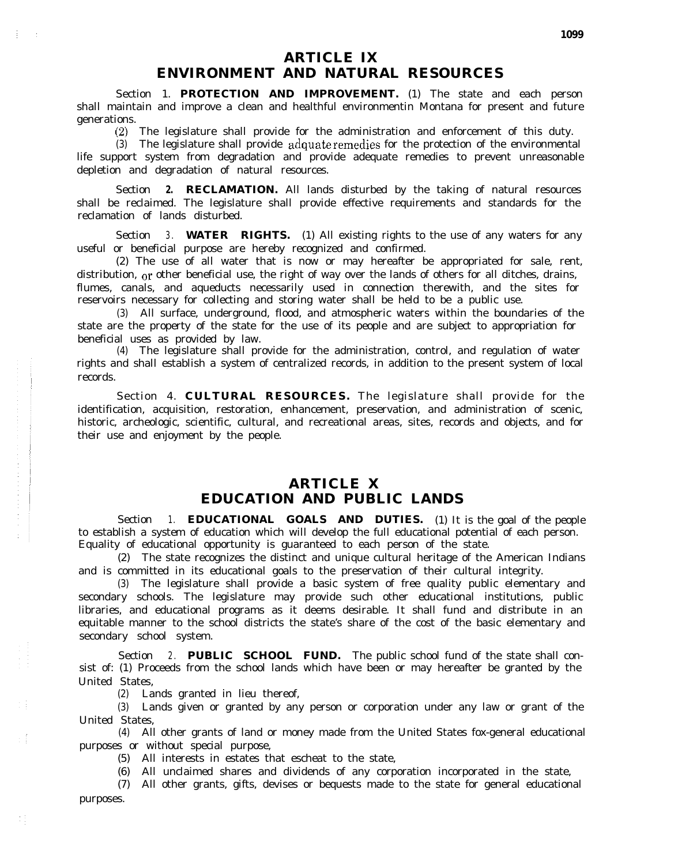# **ARTICLE IX ENVIRONMENT AND NATURAL RESOURCES**

Section 1. **PROTECTION AND IMPROVEMENT.** (1) The state and each person shall maintain and improve a clean and healthful environmentin Montana for present and future generations.

(2) The legislature shall provide for the administration and enforcement of this duty.

(3) The legislature shall provide adquateremedies for the protection of the environmental life support system from degradation and provide adequate remedies to prevent unreasonable depletion and degradation of natural resources.

Section **2. RECLAMATION.** All lands disturbed by the taking of natural resources shall be reclaimed. The legislature shall provide effective requirements and standards for the reclamation of lands disturbed.

Section 3. **WATER RIGHTS.** (1) All existing rights to the use of any waters for any useful or beneficial purpose are hereby recognized and confirmed.

(2) The use of all water that is now or may hereafter be appropriated for sale, rent, distribution, or other beneficial use, the right of way over the lands of others for all ditches, drains, flumes, canals, and aqueducts necessarily used in connection therewith, and the sites for reservoirs necessary for collecting and storing water shall be held to be a public use.

(3) All surface, underground, flood, and atmospheric waters within the boundaries of the state are the property of the state for the use of its people and are subject to appropriation for beneficial uses as provided by law.

(4) The legislature shall provide for the administration, control, and regulation of water rights and shall establish a system of centralized records, in addition to the present system of local records.

Section 4. **CULTURAL RESOURCES.** The legislature shall provide for the identification, acquisition, restoration, enhancement, preservation, and administration of scenic, historic, archeologic, scientific, cultural, and recreational areas, sites, records and objects, and for their use and enjoyment by the people.

### **ARTICLE X EDUCATION AND PUBLIC LANDS**

Section 1. **EDUCATIONAL GOALS AND DUTIES.** (1) It is the goal of the people to establish a system of education which will develop the full educational potential of each person. Equality of educational opportunity is guaranteed to each person of the state.

(2) The state recognizes the distinct and unique cultural heritage of the American Indians and is committed in its educational goals to the preservation of their cultural integrity.

(3) The legislature shall provide a basic system of free quality public elementary and secondary schools. The legislature may provide such other educational institutions, public libraries, and educational programs as it deems desirable. It shall fund and distribute in an equitable manner to the school districts the state's share of the cost of the basic elementary and secondary school system.

Section 2. **PUBLIC SCHOOL FUND.** The public school fund of the state shall consist of: (1) Proceeds from the school lands which have been or may hereafter be granted by the United States,

(2) Lands granted in lieu thereof,

τŧ

耳

(3) Lands given or granted by any person or corporation under any law or grant of the United States,

(4) All other grants of land or money made from the United States fox-general educational purposes or without special purpose,

(5) All interests in estates that escheat to the state,

(6) All unclaimed shares and dividends of any corporation incorporated in the state,

(7) All other grants, gifts, devises or bequests made to the state for general educational purposes.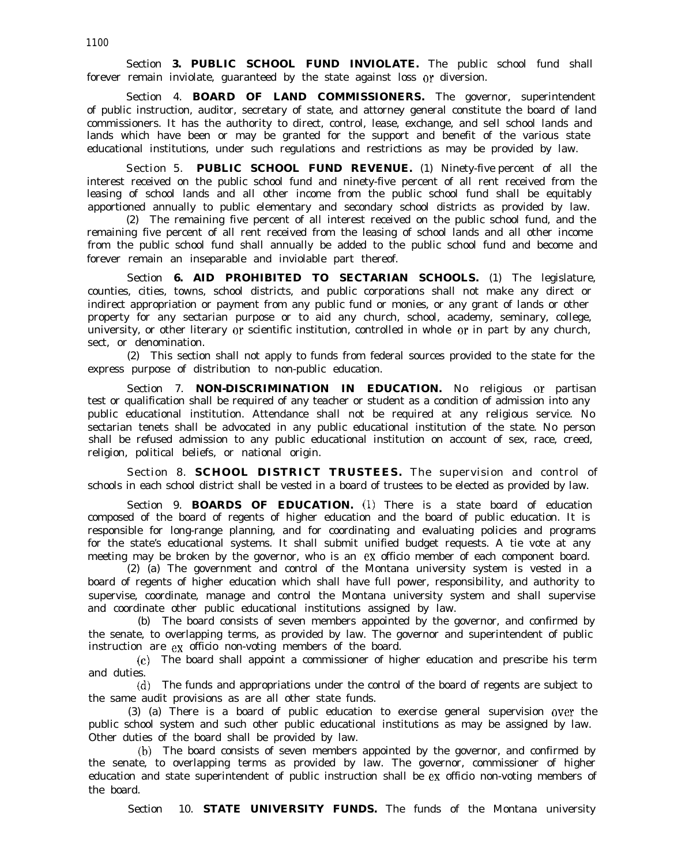Section **3. PUBLIC SCHOOL FUND INVIOLATE.** The public school fund shall forever remain inviolate, guaranteed by the state against loss or diversion.

Section 4. **BOARD OF LAND COMMISSIONERS.** The governor, superintendent of public instruction, auditor, secretary of state, and attorney general constitute the board of land commissioners. It has the authority to direct, control, lease, exchange, and sell school lands and lands which have been or may be granted for the support and benefit of the various state educational institutions, under such regulations and restrictions as may be provided by law.

Section 5. **PUBLIC SCHOOL FUND REVENUE.** (1) Ninety-five percent of all the interest received on the public school fund and ninety-five percent of all rent received from the leasing of school lands and all other income from the public school fund shall be equitably apportioned annually to public elementary and secondary school districts as provided by law.

(2) The remaining five percent of all interest received on the public school fund, and the remaining five percent of all rent received from the leasing of school lands and all other income from the public school fund shall annually be added to the public school fund and become and forever remain an inseparable and inviolable part thereof.

Section **6. AID PROHIBITED TO SECTARIAN SCHOOLS.** (1) The legislature, counties, cities, towns, school districts, and public corporations shall not make any direct or indirect appropriation or payment from any public fund or monies, or any grant of lands or other property for any sectarian purpose or to aid any church, school, academy, seminary, college, university, or other literary or scientific institution, controlled in whole or in part by any church, sect, or denomination.

(2) This section shall not apply to funds from federal sources provided to the state for the express purpose of distribution to non-public education.

Section 7. **NON-DISCRIMINATION IN EDUCATION.** No religious or partisan test or qualification shall be required of any teacher or student as a condition of admission into any public educational institution. Attendance shall not be required at any religious service. No sectarian tenets shall be advocated in any public educational institution of the state. No person shall be refused admission to any public educational institution on account of sex, race, creed, religion, political beliefs, or national origin.

Section 8. **SCHOOL DISTRICT TRUSTEES.** The supervision and control of schools in each school district shall be vested in a board of trustees to be elected as provided by law.

Section 9. **BOARDS OF EDUCATION.** (1) There is a state board of education composed of the board of regents of higher education and the board of public education. It is responsible for long-range planning, and for coordinating and evaluating policies and programs for the state's educational systems. It shall submit unified budget requests. A tie vote at any meeting may be broken by the governor, who is an ex officio member of each component board.

(2) (a) The government and control of the Montana university system is vested in a board of regents of higher education which shall have full power, responsibility, and authority to supervise, coordinate, manage and control the Montana university system and shall supervise and coordinate other public educational institutions assigned by law.

(b) The board consists of seven members appointed by the governor, and confirmed by the senate, to overlapping terms, as provided by law. The governor and superintendent of public instruction are ex officio non-voting members of the board.

(c) The board shall appoint a commissioner of higher education and prescribe his term and duties.

(d) The funds and appropriations under the control of the board of regents are subject to the same audit provisions as are all other state funds.

(3) (a) There is a board of public education to exercise general supervision over the public school system and such other public educational institutions as may be assigned by law. Other duties of the board shall be provided by law.

(b) The board consists of seven members appointed by the governor, and confirmed by the senate, to overlapping terms as provided by law. The governor, commissioner of higher education and state superintendent of public instruction shall be ex officio non-voting members of the board.

Section 10. **STATE UNIVERSITY FUNDS.** The funds of the Montana university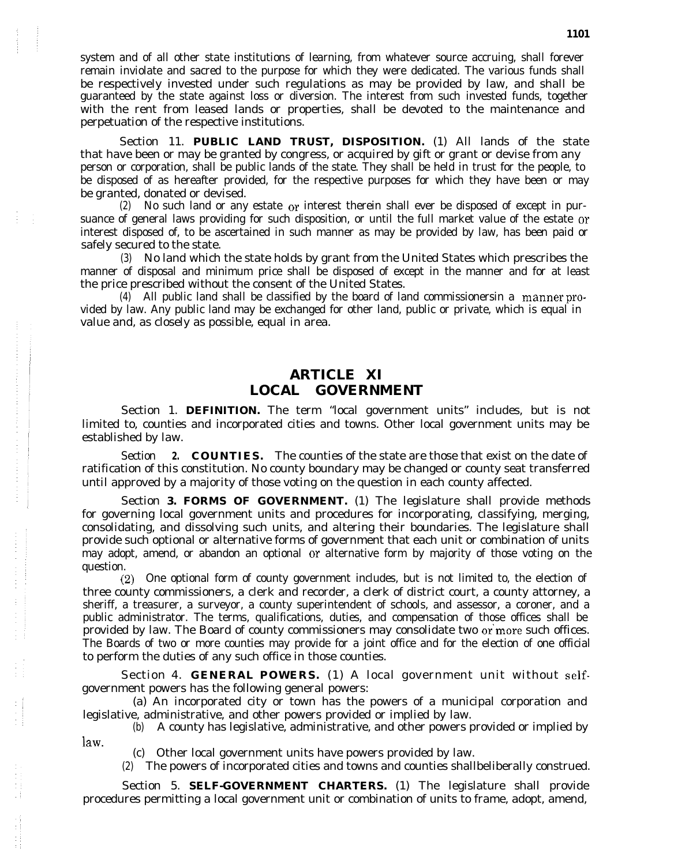system and of all other state institutions of learning, from whatever source accruing, shall forever remain inviolate and sacred to the purpose for which they were dedicated. The various funds shall be respectively invested under such regulations as may be provided by law, and shall be guaranteed by the state against loss or diversion. The interest from such invested funds, together with the rent from leased lands or properties, shall be devoted to the maintenance and perpetuation of the respective institutions.

Section 11. **PUBLIC LAND TRUST, DISPOSITION.** (1) All lands of the state that have been or may be granted by congress, or acquired by gift or grant or devise from any person or corporation, shall be public lands of the state. They shall be held in trust for the people, to be disposed of as hereafter provided, for the respective purposes for which they have been or may be granted, donated or devised.

(2) No such land or any estate or interest therein shall ever be disposed of except in pursuance of general laws providing for such disposition, or until the full market value of the estate or interest disposed of, to be ascertained in such manner as may be provided by law, has been paid or safely secured to the state.

(3) No land which the state holds by grant from the United States which prescribes the manner of disposal and minimum price shall be disposed of except in the manner and for at least the price prescribed without the consent of the United States.

(4) All public land shall be classified by the board of land commissionersin a manner provided by law. Any public land may be exchanged for other land, public or private, which is equal in value and, as closely as possible, equal in area.

## **ARTICLE XI LOCAL GOVERNMENT**

Section 1. **DEFINITION.** The term "local government units" includes, but is not limited to, counties and incorporated cities and towns. Other local government units may be established by law.

Section **2. COUNTIES.** The counties of the state are those that exist on the date of ratification of this constitution. No county boundary may be changed or county seat transferred until approved by a majority of those voting on the question in each county affected.

Section **3. FORMS OF GOVERNMENT.** (1) The legislature shall provide methods for governing local government units and procedures for incorporating, classifying, merging, consolidating, and dissolving such units, and altering their boundaries. The legislature shall provide such optional or alternative forms of government that each unit or combination of units may adopt, amend, or abandon an optional or alternative form by majority of those voting on the question.

(2) One optional form of county government includes, but is not limited to, the election of three county commissioners, a clerk and recorder, a clerk of district court, a county attorney, a sheriff, a treasurer, a surveyor, a county superintendent of schools, and assessor, a coroner, and a public administrator. The terms, qualifications, duties, and compensation of those offices shall be provided by law. The Board of county commissioners may consolidate two or'more such offices. The Boards of two or more counties may provide for a joint office and for the election of one official to perform the duties of any such office in those counties.

Section 4. **GENERAL POWERS.** (1) A local government unit without selfgovernment powers has the following general powers:

(a) An incorporated city or town has the powers of a municipal corporation and legislative, administrative, and other powers provided or implied by law.

(b) A county has legislative, administrative, and other powers provided or implied by law.

(c) Other local government units have powers provided by law.

(2) The powers of incorporated cities and towns and counties shallbeliberally construed.

Section 5. **SELF-GOVERNMENT CHARTERS.** (1) The legislature shall provide procedures permitting a local government unit or combination of units to frame, adopt, amend,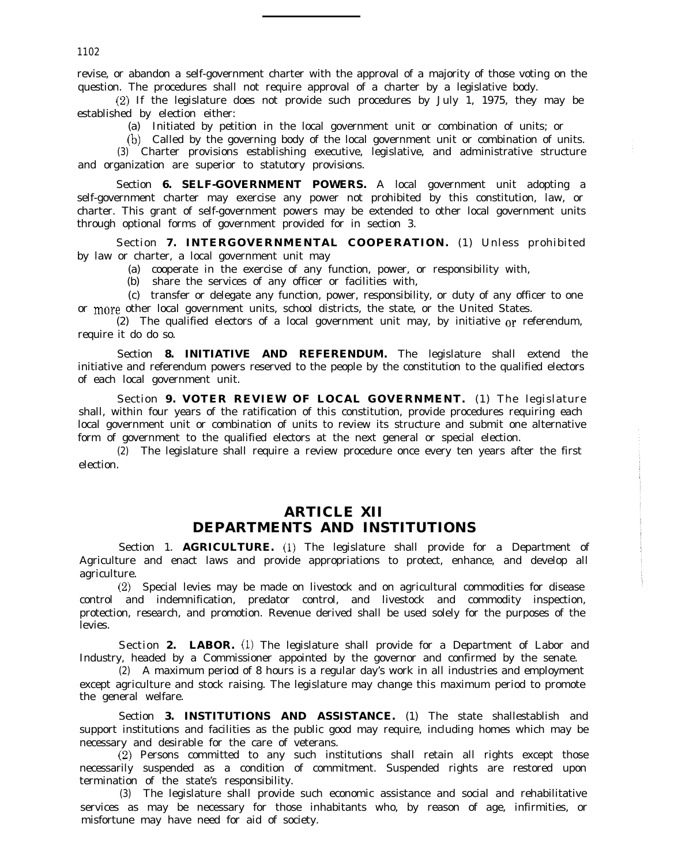revise, or abandon a self-government charter with the approval of a majority of those voting on the question. The procedures shall not require approval of a charter by a legislative body.

(2) If the legislature does not provide such procedures by July 1, 1975, they may be established by election either:

(a) Initiated by petition in the local government unit or combination of units; or

(b) Called by the governing body of the local government unit or combination of units. (3) Charter provisions establishing executive, legislative, and administrative structure and organization are superior to statutory provisions.

Section **6. SELF-GOVERNMENT POWERS.** A local government unit adopting a self-government charter may exercise any power not prohibited by this constitution, law, or charter. This grant of self-government powers may be extended to other local government units through optional forms of government provided for in section 3.

Section **7. INTERGOVERNMENTAL COOPERATION.** (1) Unless prohibited by law or charter, a local government unit may

(a) cooperate in the exercise of any function, power, or responsibility with,

(b) share the services of any officer or facilities with,

(c) transfer or delegate any function, power, responsibility, or duty of any officer to one or more other local government units, school districts, the state, or the United States.

(2) The qualified electors of a local government unit may, by initiative or referendum, require it do do so.

Section **8. INITIATIVE AND REFERENDUM.** The legislature shall extend the initiative and referendum powers reserved to the people by the constitution to the qualified electors of each local government unit.

Section **9. VOTER REVIEW OF LOCAL GOVERNMENT.** (1) The legislature shall, within four years of the ratification of this constitution, provide procedures requiring each local government unit or combination of units to review its structure and submit one alternative form of government to the qualified electors at the next general or special election.

(2) The legislature shall require a review procedure once every ten years after the first election.

# **ARTICLE XII DEPARTMENTS AND INSTITUTIONS**

Section 1. **AGRICULTURE.** (1) The legislature shall provide for a Department of Agriculture and enact laws and provide appropriations to protect, enhance, and develop all agriculture.

(2) Special levies may be made on livestock and on agricultural commodities for disease control and indemnification, predator control, and livestock and commodity inspection, protection, research, and promotion. Revenue derived shall be used solely for the purposes of the levies.

Section **2. LABOR.** (1) The legislature shall provide for a Department of Labor and Industry, headed by a Commissioner appointed by the governor and confirmed by the senate.

(2) A maximum period of 8 hours is a regular day's work in all industries and employment except agriculture and stock raising. The legislature may change this maximum period to promote the general welfare.

Section **3. INSTITUTIONS AND ASSISTANCE.** (1) The state shallestablish and support institutions and facilities as the public good may require, including homes which may be necessary and desirable for the care of veterans.

(2) Persons committed to any such institutions shall retain all rights except those necessarily suspended as a condition of commitment. Suspended rights are restored upon termination of the state's responsibility.

(3) The legislature shall provide such economic assistance and social and rehabilitative services as may be necessary for those inhabitants who, by reason of age, infirmities, or misfortune may have need for aid of society.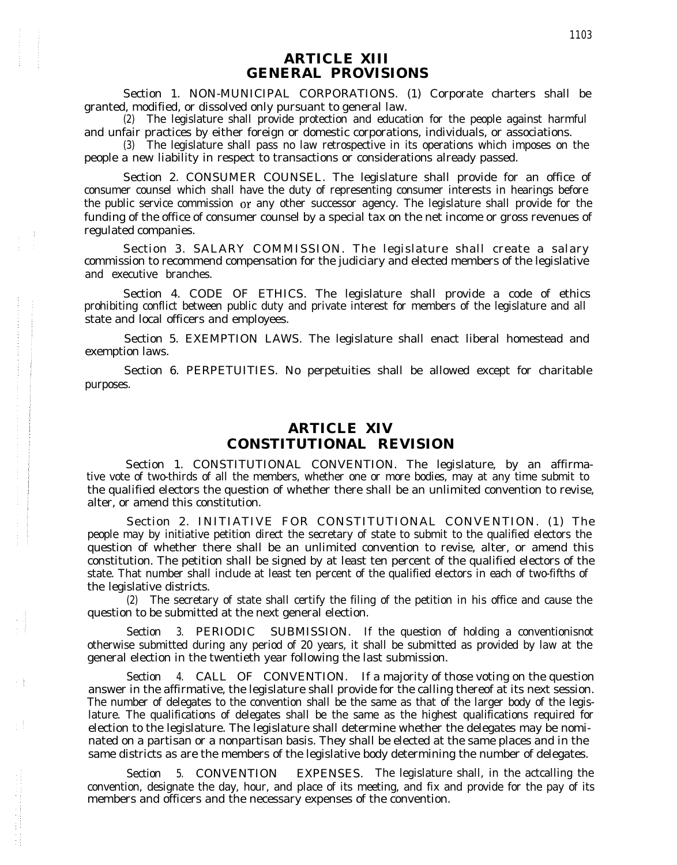#### **ARTICLE XIII GENERAL PROVISIONS**

Section 1. NON-MUNICIPAL CORPORATIONS. (1) Corporate charters shall be granted, modified, or dissolved only pursuant to general law.

(2) The legislature shall provide protection and education for the people against harmful and unfair practices by either foreign or domestic corporations, individuals, or associations.

(3) The legislature shall pass no law retrospective in its operations which imposes on the people a new liability in respect to transactions or considerations already passed.

Section 2. CONSUMER COUNSEL. The legislature shall provide for an office of consumer counsel which shall have the duty of representing consumer interests in hearings before the public service commission or any other successor agency. The legislature shall provide for the funding of the office of consumer counsel by a special tax on the net income or gross revenues of regulated companies.

Section 3. SALARY COMMISSION. The legislature shall create a salary commission to recommend compensation for the judiciary and elected members of the legislative and executive branches.

Section 4. CODE OF ETHICS. The legislature shall provide a code of ethics prohibiting conflict between public duty and private interest for members of the legislature and all state and local officers and employees.

Section 5. EXEMPTION LAWS. The legislature shall enact liberal homestead and exemption laws.

Section 6. PERPETUITIES. No perpetuities shall be allowed except for charitable purposes.

# **ARTICLE XIV CONSTITUTIONAL REVISION**

Section 1. CONSTITUTIONAL CONVENTION. The legislature, by an affirmative vote of two-thirds of all the members, whether one or more bodies, may at any time submit to the qualified electors the question of whether there shall be an unlimited convention to revise, alter, or amend this constitution.

Section 2. INITIATIVE FOR CONSTITUTIONAL CONVENTION. (1) The people may by initiative petition direct the secretary of state to submit to the qualified electors the question of whether there shall be an unlimited convention to revise, alter, or amend this constitution. The petition shall be signed by at least ten percent of the qualified electors of the state. That number shall include at least ten percent of the qualified electors in each of two-fifths of the legislative districts.

(2) The secretary of state shall certify the filing of the petition in his office and cause the question to be submitted at the next general election.

Section 3. PERIODIC SUBMISSION. If the question of holding a conventionisnot otherwise submitted during any period of 20 years, it shall be submitted as provided by law at the general election in the twentieth year following the last submission.

Section 4. CALL OF CONVENTION. If a majority of those voting on the question answer in the affirmative, the legislature shall provide for the calling thereof at its next session. The number of delegates to the convention shall be the same as that of the larger body of the legislature. The qualifications of delegates shall be the same as the highest qualifications required for election to the legislature. The legislature shall determine whether the delegates may be nominated on a partisan or a nonpartisan basis. They shall be elected at the same places and in the same districts as are the members of the legislative body determining the number of delegates.

Section 5. CONVENTION EXPENSES. The legislature shall, in the actcalling the convention, designate the day, hour, and place of its meeting, and fix and provide for the pay of its members and officers and the necessary expenses of the convention.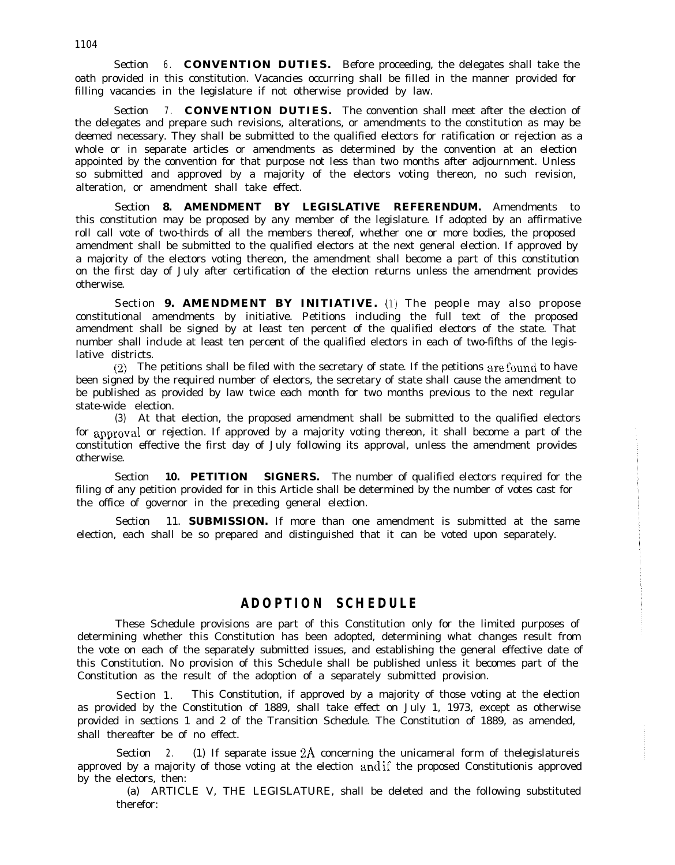oath provided in this constitution. Vacancies occurring shall be filled in the manner provided for Section 6. **CONVENTION DUTIES.** Before proceeding, the delegates shall take the filling vacancies in the legislature if not otherwise provided by law.

Section 7. **CONVENTION DUTIES.** The convention shall meet after the election of the delegates and prepare such revisions, alterations, or amendments to the constitution as may be deemed necessary. They shall be submitted to the qualified electors for ratification or rejection as a whole or in separate articles or amendments as determined by the convention at an election appointed by the convention for that purpose not less than two months after adjournment. Unless so submitted and approved by a majority of the electors voting thereon, no such revision, alteration, or amendment shall take effect.

Section **8. AMENDMENT BY LEGISLATIVE REFERENDUM.** Amendments to this constitution may be proposed by any member of the legislature. If adopted by an affirmative roll call vote of two-thirds of all the members thereof, whether one or more bodies, the proposed amendment shall be submitted to the qualified electors at the next general election. If approved by a majority of the electors voting thereon, the amendment shall become a part of this constitution on the first day of July after certification of the election returns unless the amendment provides otherwise.

Section **9. AMENDMENT BY INITIATIVE.** (1) The people may also propose constitutional amendments by initiative. Petitions including the full text of the proposed amendment shall be signed by at least ten percent of the qualified electors of the state. That number shall include at least ten percent of the qualified electors in each of two-fifths of the legislative districts.

(2) The petitions shall be filed with the secretary of state. If the petitions arefound to have been signed by the required number of electors, the secretary of state shall cause the amendment to be published as provided by law twice each month for two months previous to the next regular state-wide election.

(3) At that election, the proposed amendment shall be submitted to the qualified electors for approval or rejection. If approved by a majority voting thereon, it shall become a part of the constitution effective the first day of July following its approval, unless the amendment provides otherwise.

Section **10. PETITION SIGNERS.** The number of qualified electors required for the filing of any petition provided for in this Article shall be determined by the number of votes cast for the office of governor in the preceding general election.

Section 11. **SUBMISSION.** If more than one amendment is submitted at the same election, each shall be so prepared and distinguished that it can be voted upon separately.

#### **ADOPTION SCHEDULE**

These Schedule provisions are part of this Constitution only for the limited purposes of determining whether this Constitution has been adopted, determining what changes result from the vote on each of the separately submitted issues, and establishing the general effective date of this Constitution. No provision of this Schedule shall be published unless it becomes part of the Constitution as the result of the adoption of a separately submitted provision.

Section 1. This Constitution, if approved by a majority of those voting at the election as provided by the Constitution of 1889, shall take effect on July 1, 1973, except as otherwise provided in sections 1 and 2 of the Transition Schedule. The Constitution of 1889, as amended, shall thereafter be of no effect.

Section 2. (1) If separate issue  $2A$  concerning the unicameral form of the legislature is approved by a majority of those voting at the election andif the proposed Constitutionis approved by the electors, then:

(a) ARTICLE V, THE LEGISLATURE, shall be deleted and the following substituted therefor: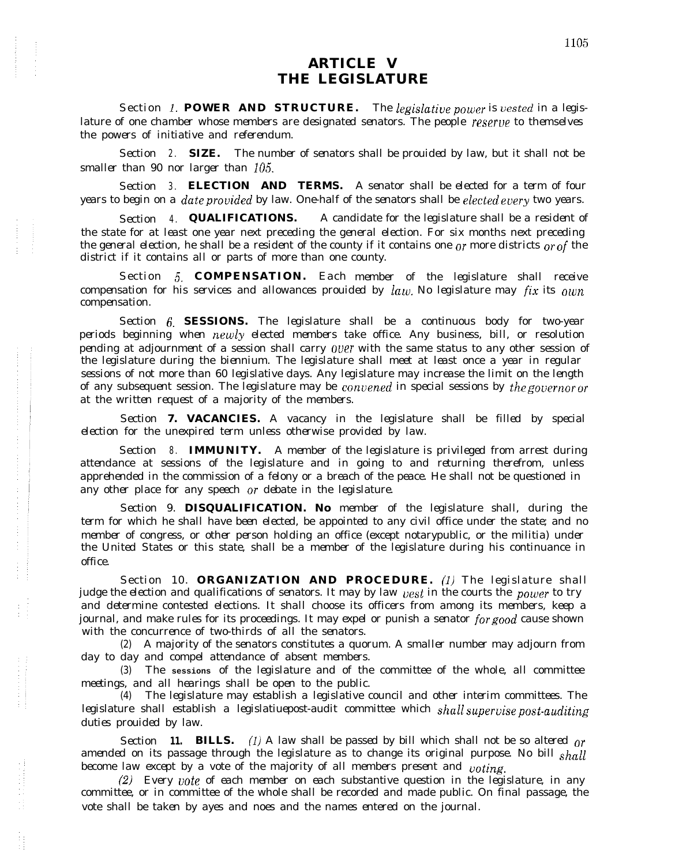## *ARTICLE V THE LEGISLATURE*

Section 1. **POWER AND STRUCTURE.** The legislative power is vested in a legis*lature of one chamber whose members are designated senators. The people reserue to themselves the powers of initiative and referendum.*

*Section 2 . SIZE. The number of senators shall be prouided by law, but it shall not be smaller than 90 nor larger than 105.*

*Section 3 . ELECTION AND TERMS. A senator shall be elected for a term of four years to begin on a date provided by law. One-half of the senators shall be elected every two years.* 

*Section 4 . QUALIFICATIONS. A candidate for the legislature shall be a resident of the state for at least one year next preceding the general election. For six months next preceding the general election, he shall be a resident of the county if it contains one or more districts orof the district if it contains all or parts of more than one county.*

*Section 5. COMPENSATION. Each member of the legislature shall receive compensation for his services and allowances prouided by latu. No legislature may fix its oun compensation.*

*Section 6. SESSIONS. The legislature shall be a continuous body for two-year periods beginning when newly elected members take office. Any business, bill, or resolution pending at adjournment of a session shall carry ouer with the same status to any other session of the legislature during the biennium. The legislature shall meet at least once a year in regular sessions of not more than 60 legislative days. Any legislature may increase the limit on the length of any subsequent session. The legislature may be conuened in special sessions by thegouernoror at the written request of a majority of the members.*

*Section 7. VACANCIES. A vacancy in the legislature shall be filled by special election for the unexpired term unless otherwise provided by law.*

*Section 8 . IMMUNITY. A member of the legislature is privileged from arrest during attendance at sessions of the legislature and in going to and returning therefrom, unless apprehended in the commission of a felony or a breach of the peace. He shall not be questioned in any other place for any speech or debate in the legislature.*

*Section 9. DISQUALIFICATION. No member of the legislature shall, during the term for which he shall have been elected, be appointed to any civil office under the state; and no member of congress, or other person holding an office (except notarypublic, or the militia) under the United States or this state, shall be a member of the legislature during his continuance in office.*

*Section 10. ORGANIZATION AND PROCEDURE. (I) The legislature shall judge the election and qualifications of senators. It may by law vest in the courts the power to try and determine contested elections. It shall choose its officers from among its members, keep a journal, and make rules for its proceedings. It may expel or punish a senator forgood cause shown with the concurrence of two-thirds of all the senators.*

*(2) A majority of the senators constitutes a quorum. A smaller number may adjourn from day to day and compel attendance of absent members.*

*(3) The* **sessions** *of the legislature and of the committee of the whole, all committee meetings, and all hearings shall be open to the public.*

*(4) The legislature may establish a legislative council and other interim committees. The legislature shall establish a legislatiuepost-audit committee which shall supervise post-auditing duties prouided by law.*

*Section 11. BILLS. (I) A law shall be passed by bill which shall not be so altered or amended on its passage through the legislature as to change its original purpose. No bill shall become law except by a vote of the majority of all members present and uoting.*

*1.2) Every uote of each member on each substantive question in the legislature, in any committee, or in committee of the whole shall be recorded and made public. On final passage, the vote shall be taken by ayes and noes and the names entered on the journal.*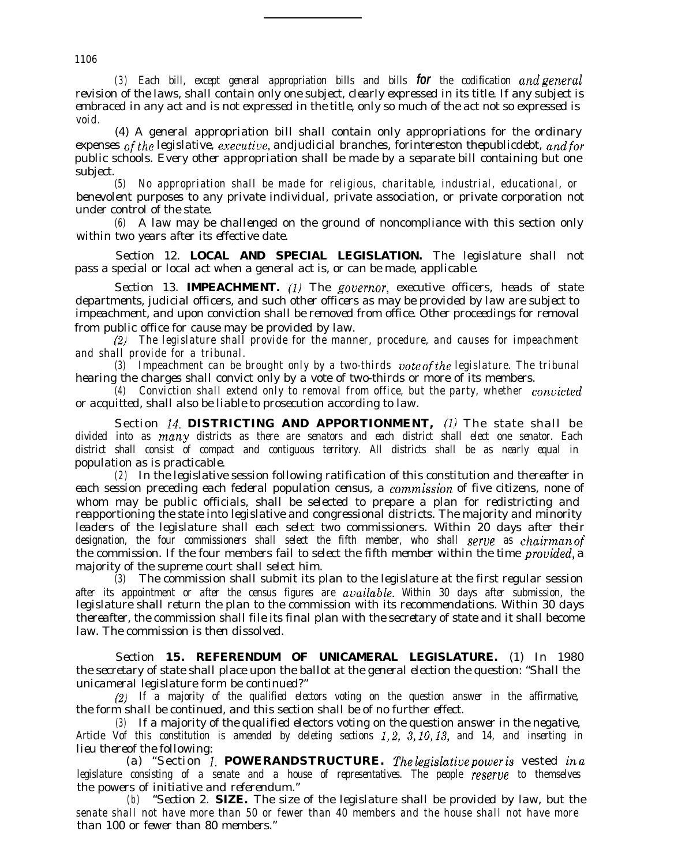*(3) Each bill, except general appropriation bills and bills for the codification andgeneral revision of the laws, shall contain only one subject, clearly expressed in its title. If any subject is embraced in any act and is not expressed in the title, only so much of the act not so expressed is void.*

*(4) A general appropriation bill shall contain only appropriations for the ordinary expenses ofthe legislative, erecutiue, andjudicial branches, forintereston thepublicdebt, andfor public schools. Every other appropriation shall be made by a separate bill containing but one subject.*

*(5) No appropriation shall be made for religious, charitable, industrial, educational, or benevolent purposes to any private individual, private association, or private corporation not under control of the state.*

*(6) A law may be challenged on the ground of noncompliance with this section only within two years after its effective date.*

*Section 12. LOCAL AND SPECIAL LEGISLATION. The legislature shall not pass a special or local act when a general act is, or can be made, applicable.*

*Section 13. IMPEACHMENT. (1) The governor, executive officers, heads of state departments, judicial officers, and such other officers as may be provided by law are subject to impeachment, and upon conviction shall be removed from office. Other proceedings for removal from public office for cause may be provided by law.*

*(2) The legislature shall provide for the manner, procedure, and causes for impeachment and shall provide for a tribunal.*

*(3) Impeachment can be brought only by a two-thirds voteofthe legislature. The tribunal hearing the charges shall convict only by a vote of two-thirds or more of its members.*

*(4) Conviction shall extend only to removal from office, but the party, whether conuicted or acquitted, shall also be liable to prosecution according to law.*

*Section 14. DISTRICTING AND APPORTIONMENT, (1) The state shall be divided into as nany districts as there are senators and each district shall elect one senator. Each district shall consist of compact and contiguous territory. All districts shall be as nearly equal in population as is practicable.*

*(2) In the legislative session following ratification of this constitution and thereafter in each session preceding each federal population census, a commission of five citizens, none of whom may be public officials, shall be selected to prepare a plan for redistricting and reapportioning the state into legislative and congressional districts. The majority and minority leaders of the legislature shall each select two commissioners. Within 20 days after their designation, the four commissioners shall select the fifth member, who shall serue as chairmanof the commission. If the four members fail to select the fifth member within the time prouided, a majority of the supreme court shall select him.*

*(3) The commission shall submit its plan to the legislature at the first regular session after its appointment or after the census figures are auailable. Within 30 days after submission, the legislature shall return the plan to the commission with its recommendations. Within 30 days thereafter, the commission shall file its final plan with the secretary of state and it shall become law. The commission is then dissolved.*

*Section 15. REFERENDUM OF UNICAMERAL LEGISLATURE. (1) In 1980 the secretary of state shall place upon the ballot at the general election the question: "Shall the unicameral legislature form be continued?"*

*(2) If a majority of the qualified electors voting on the question answer in the affirmative, the form shall be continued, and this section shall be of no further effect.*

*(3) If a majority of the qualified electors voting on the question answer in the negative, Article Vof this constitution is amended by deleting sections I,& 3,10,13, and 14, and inserting in lieu thereof the following:*

*(a) "Section 1. POWERANDSTRUCTURE. Thelegislatiuepoweris vested ina legislature consisting of a senate and a house of representatives. The people reserve to themselves the powers of initiative and referendum."*

*(b) "Section 2. SIZE. The size of the legislature shall be provided by law, but the senate shall not have more than 50 or fewer than 40 members and the house shall not have more than 100 or fewer than 80 members."*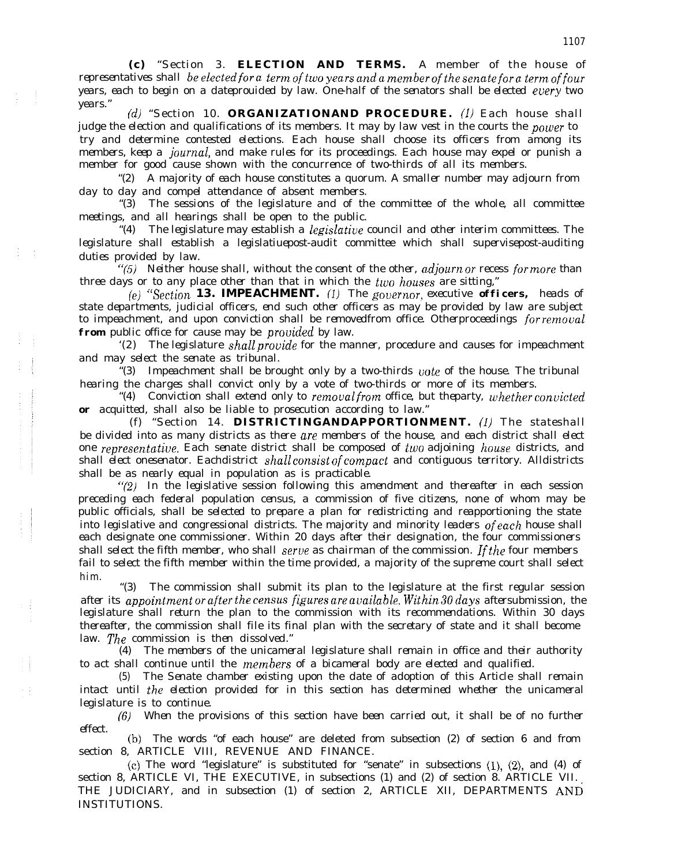*(c) "Section 3. ELECTION AND TERMS. A member of the house of representatives shall beelectedfora termoftwoyearsandamemberofthesenatefora termoffour years, each to begin on a dateprouided by law. One-half of the senators shall be elected euery two years."*

*(d) "Section 10. ORGANIZATIONAND PROCEDURE. (1) Each house shall judge the election and qualifications of its members. It may by law vest in the courts the power to try and determine contested elections. Each house shall choose its officers from among its members, keep a jownal, and make rules for its proceedings. Each house may expel or punish a member for good cause shown with the concurrence of two-thirds of all its members.*

*"(2) A majority of each house constitutes a quorum. A smaller number may adjourn from day to day and compel attendance of absent members.*

*"(3) The sessions of the legislature and of the committee of the whole, all committee meetings, and all hearings shall be open to the public.*

*"(4) The legislature may establish a legislatiue council and other interim committees. The legislature shall establish a legislatiuepost-audit committee which shall supervisepost-auditing duties provided by law.*

*"(5) Neither house shall, without the consent of the other, adjournor recess formore than three days or to any place other than that in which the two houses are sitting,"* 

**(e)** "Section **13. IMPEACHMENT. (1)** *The gouernor, executive* **officers,** *heads of state departments, judicial officers, end such other officers as may be provided by law are subject to impeachment, and upon conviction shall be removedfrom office. Otherproceedings forremoual* **from** *public office for cause may be prouided by law.*

*'(2)* The legislature shall provide for the manner, procedure and causes for impeachment *and may select the senate as tribunal.*

*"(3) Impeachment shall be brought only by a two-thirds uote of the house. The tribunal hearing the charges shall convict only by a vote of two-thirds or more of its members.*

*"(4) Conviction shall extend only to removalfrom office, but theparty, whetherconuicted* **or** *acquitted, shall also be liable to prosecution according to law."*

*(f) "Section 14. DISTRICTINGANDAPPORTIONMENT. (1) The stateshall be divided into as many districts as there are members of the house, and each district shall elect one representatiue. Each senate district shall be composed of tmo adjoining kouse districts, and shall elect onesenator. Eachdistrict shallconsistofcompect and contiguous territory. Alldistricts shall be as nearly equal in population as is practicable.*

*"(2) In the legislative session following this amendment and thereafter in each session preceding each federal population census, a commission of five citizens, none of whom may be public officials, shall be selected to prepare a plan for redistricting and reapportioning the state into legislative and congressional districts. The majority and minority leaders ofeach house shall each designate one commissioner. Within 20 days after their designation, the four commissioners shall select the fifth member, who shall serve as chairman of the commission. Ifthe four members fail to select the fifth member within the time provided, a majority of the supreme court shall select him.*

*"(3) The commission shall submit its plan to the legislature at the first regular session after its appointmentorafterthecenslls figuresareauailable. Within30days aftersubmission, the legislature shall return the plan to the commission with its recommendations. Within 30 days thereafter, the commission shall file its final plan with the secretary of state and it shall become* law. The commission is then dissolved."

*(4) The members of the unicameral legislature shall remain in office and their authority* to act shall continue until the members of a bicameral body are elected and qualified.

*(5) The Senate chamber existing upon the date of adoption of this Article shall remain intact until the election provided for in this section has determined whether the unicameral legislature is to continue.*

*(6) When the provisions of this section have been carried out, it shall be of no further effect.*

(b) The words "of each house" are deleted from subsection (2) of section 6 and from section 8, ARTICLE VIII, REVENUE AND FINANCE.

(c) The word "legislature" is substituted for "senate" in subsections (l), (Z), and (4) of section 8, ARTICLE VI, THE EXECUTIVE, in subsections (1) and (2) of section 8. ARTICLE VII. THE JUDICIARY, and in subsection (1) of section 2, ARTICLE XII, DEPARTMENTS AND INSTITUTIONS.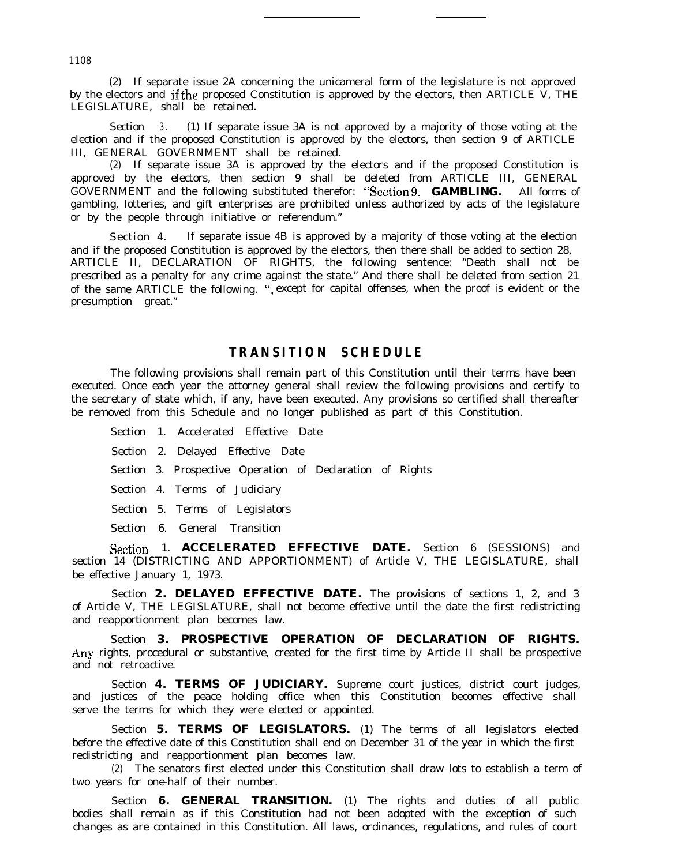(2) If separate issue 2A concerning the unicameral form of the legislature is not approved by the electors and if the proposed Constitution is approved by the electors, then ARTICLE  $\hat{V}$ , THE LEGISLATURE, shall be retained.

Section 3. (1) If separate issue 3A is not approved by a majority of those voting at the election and if the proposed Constitution is approved by the electors, then section 9 of ARTICLE III, GENERAL GOVERNMENT shall be retained.

(2) If separate issue 3A is approved by the electors and if the proposed Constitution is approved by the electors, then section 9 shall be deleted from ARTICLE III, GENERAL GOVERNMENT and the following substituted therefor: "Section 9. **GAMBLING.** All forms of gambling, lotteries, and gift enterprises are prohibited unless authorized by acts of the legislature or by the people through initiative or referendum."

Section 4. If separate issue 4B is approved by a majority of those voting at the election and if the proposed Constitution is approved by the electors, then there shall be added to section 28, ARTICLE II, DECLARATION OF RIGHTS, the following sentence: "Death shall not be prescribed as a penalty for any crime against the state." And there shall be deleted from section 21 of the same ARTICLE the following. ", except for capital offenses, when the proof is evident or the presumption great."

#### **TRANSITION SCHEDULE**

The following provisions shall remain part of this Constitution until their terms have been executed. Once each year the attorney general shall review the following provisions and certify to the secretary of state which, if any, have been executed. Any provisions so certified shall thereafter be removed from this Schedule and no longer published as part of this Constitution.

Section 1. Accelerated Effective Date Section 2. Delayed Effective Date Section 3. Prospective Operation of Declaration of Rights Section 4. Terms of Judiciary Section 5. Terms of Legislators Section 6. General Transition

**Section** 1. **ACCELERATED EFFECTIVE DATE.** Section 6 (SESSIONS) and section 14 (DISTRICTING AND APPORTIONMENT) of Article V, THE LEGISLATURE, shall be effective January 1, 1973.

Section **2. DELAYED EFFECTIVE DATE.** The provisions of sections 1, 2, and 3 of Article V, THE LEGISLATURE, shall not become effective until the date the first redistricting and reapportionment plan becomes law.

Section **3. PROSPECTIVE OPERATION OF DECLARATION OF RIGHTS.** Any rights, procedural or substantive, created for the first time by Article II shall be prospective and not retroactive.

Section **4. TERMS OF JUDICIARY.** Supreme court justices, district court judges, and justices of the peace holding office when this Constitution becomes effective shall serve the terms for which they were elected or appointed.

Section **5. TERMS OF LEGISLATORS.** (1) The terms of all legislators elected before the effective date of this Constitution shall end on December 31 of the year in which the first redistricting and reapportionment plan becomes law.

(2) The senators first elected under this Constitution shall draw lots to establish a term of two years for one-half of their number.

Section **6. GENERAL TRANSITION.** (1) The rights and duties of all public bodies shall remain as if this Constitution had not been adopted with the exception of such changes as are contained in this Constitution. All laws, ordinances, regulations, and rules of court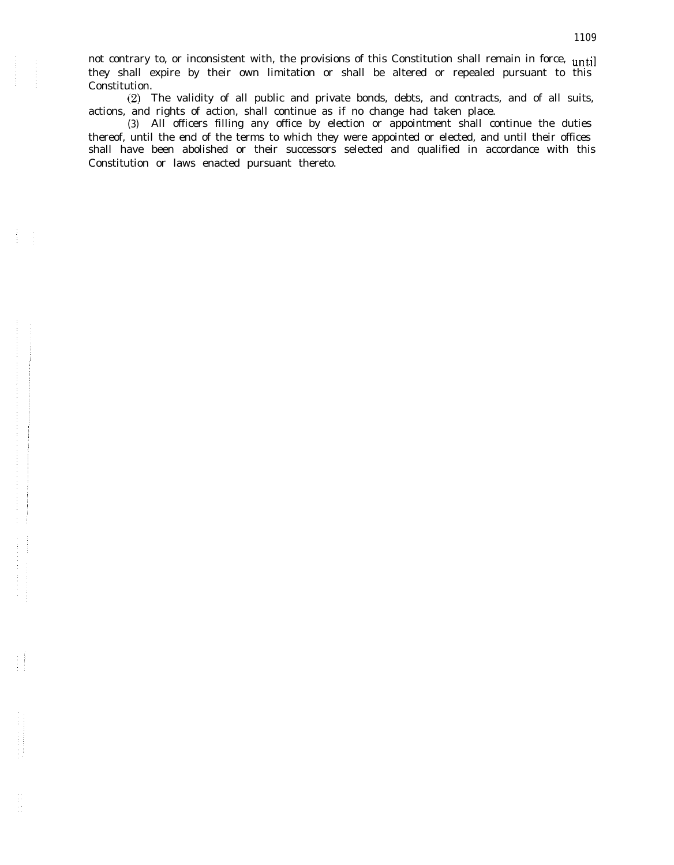not contrary to, or inconsistent with, the provisions of this Constitution shall remain in force, until they shall expire by their own limitation or shall be altered or repealed pursuant to this Constitution.

(2) The validity of all public and private bonds, debts, and contracts, and of all suits, actions, and rights of action, shall continue as if no change had taken place.

(3) All officers filling any office by election or appointment shall continue the duties thereof, until the end of the terms to which they were appointed or elected, and until their offices shall have been abolished or their successors selected and qualified in accordance with this Constitution or laws enacted pursuant thereto.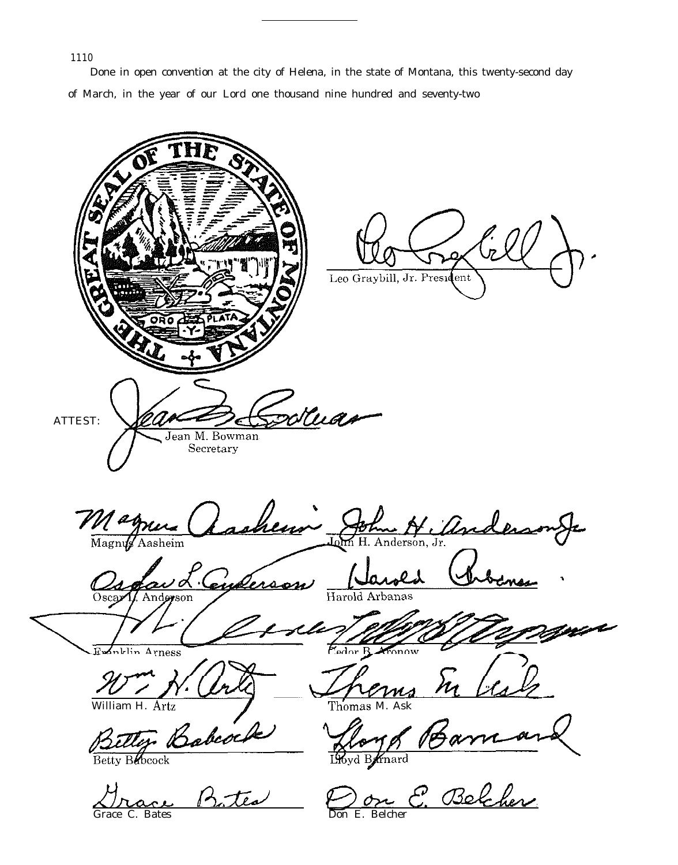Done in open convention at the city of Helena, in the state of Montana, this twenty-second day of March, in the year of our Lord one thousand nine hundred and seventy-two

Leo Graybill, Jr. President ATTEST: ean M. Bowman Secretary Magner Chachenon John Hillsderson Harold ensers en  $Osca\sqrt{1}$  Ander Talar B Evanklin Arness William H. Artz<br>Belley. Babcock Hongh William H. Artz Lloyd Barnard r E. Belcher Bates

Grace C. Bates

1110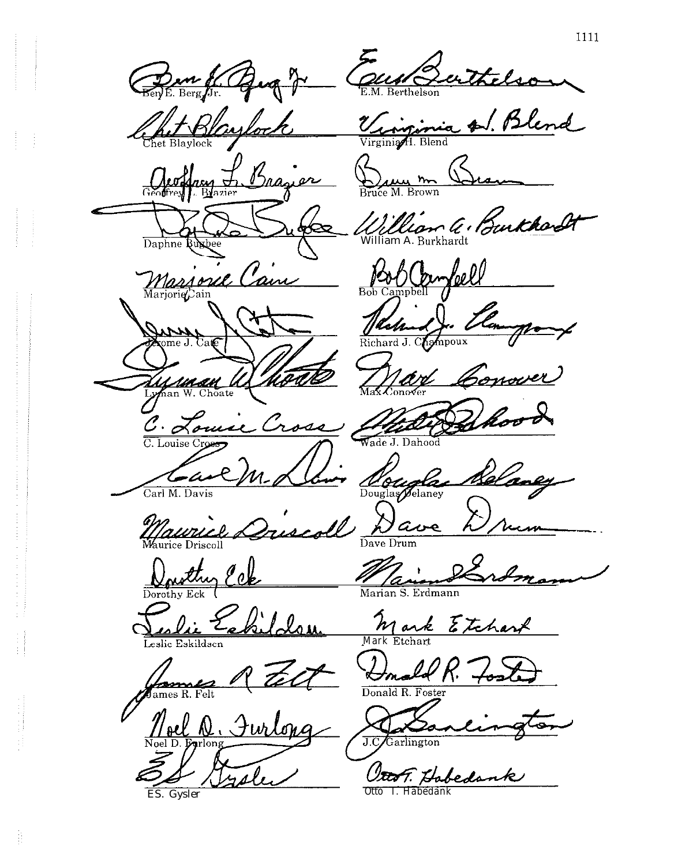telso Den Berg Training nager William a. Burkhardt  $\overline{\text{Daphne}}$  $\frac{1}{\pi}$ Marjorie Cain Bob Campbell hell h Clamagnon of Rochine Nouglas Re <u>Inex</u> iscoll Dave Maurice Van  $\mathbf{r}$ nother Eck Dorothy Eck Mark Etchart <u>lau</u> Donald  $\frac{1}{\sqrt{10}}$ Gar  $\frac{1}{1}$ Osta nk tabeda Gysler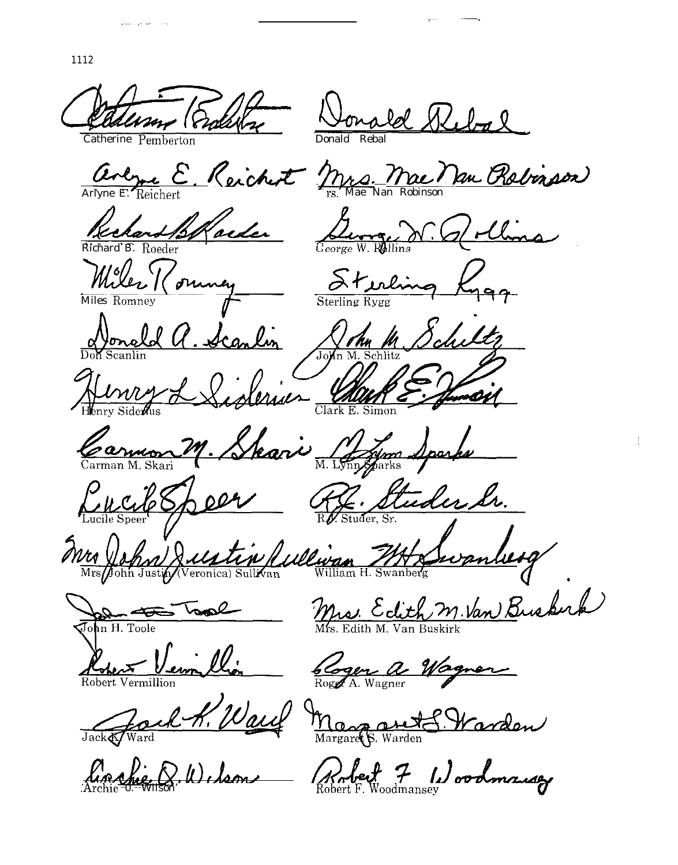1112 Catherine Pemberton Crochet Donald Rebal<br>Cartyne E. Reichert Mrs. Mae Nan Robinson  $\overline{\text{Catherine}}$ Rechard BRacder Surray N. Q Mina Miler Rouma Sterling Miles Romney Donald a. Scanlin John M. <u>lt,</u> (Idank Henry L Liderier Carmon M. Skari John Span R. Studer Sr. Pucile Speer ustin fullwan 711 Mrs John & Swanlesg Mrs. Edith M. Van Duskirk  $\frac{1}{2}$ in elle <u>Coger a Wagner</u> Ward Rock Margaret S. Warden

Archie 0. Wilson'

Robert 7 Woodmansey